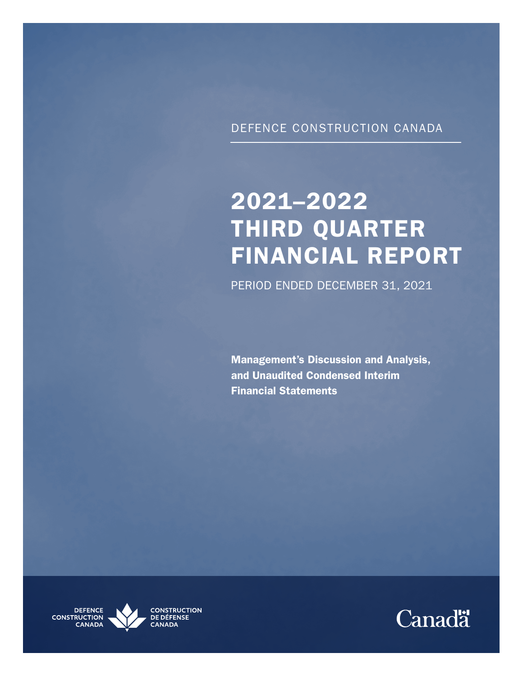# DEFENCE CONSTRUCTION CANADA

# 2021–2022 THIRD QUARTER FINANCIAL REPORT

PERIOD ENDED DECEMBER 31, 2021

Management's Discussion and Analysis, and Unaudited Condensed Interim Financial Statements





**CONSTRUCTION CANADA**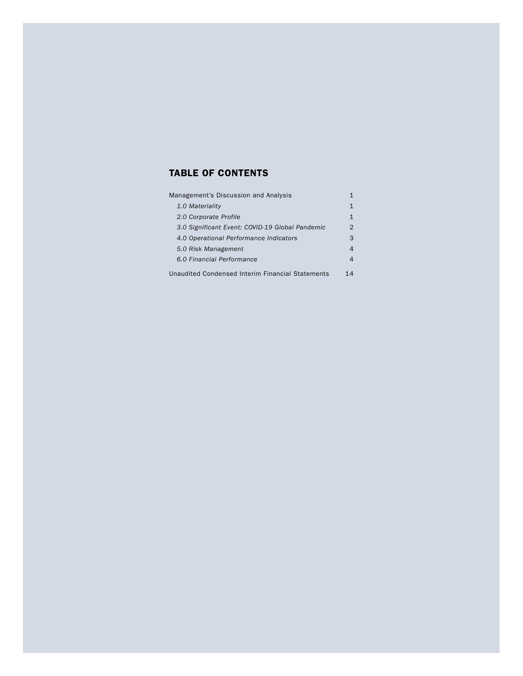# TABLE OF CONTENTS

| Management's Discussion and Analysis             |    |
|--------------------------------------------------|----|
| 1.0 Materiality                                  | 1  |
| 2.0 Corporate Profile                            | 1  |
| 3.0 Significant Event: COVID-19 Global Pandemic  | 2  |
| 4.0 Operational Performance Indicators           | 3  |
| 5.0 Risk Management                              | 4  |
| 6.0 Financial Performance                        | 4  |
| Unaudited Condensed Interim Financial Statements | 14 |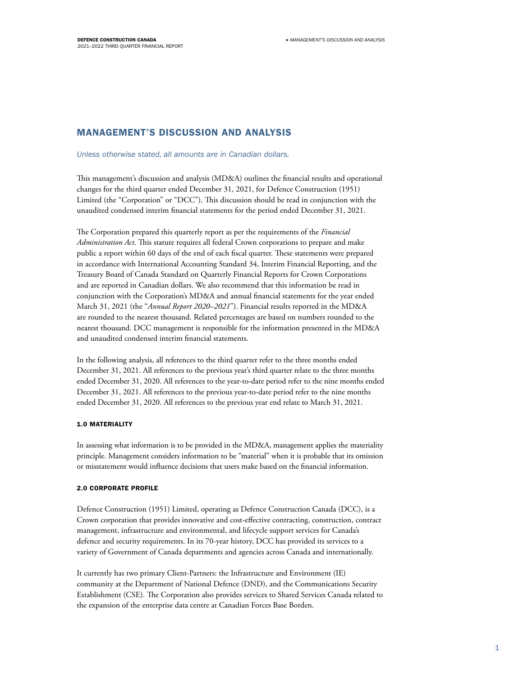# MANAGEMENT'S DISCUSSION AND ANALYSIS

*Unless otherwise stated, all amounts are in Canadian dollars.*

This management's discussion and analysis (MD&A) outlines the financial results and operational changes for the third quarter ended December 31, 2021, for Defence Construction (1951) Limited (the "Corporation" or "DCC"). This discussion should be read in conjunction with the unaudited condensed interim financial statements for the period ended December 31, 2021.

The Corporation prepared this quarterly report as per the requirements of the *Financial Administration Act*. This statute requires all federal Crown corporations to prepare and make public a report within 60 days of the end of each fiscal quarter. These statements were prepared in accordance with International Accounting Standard 34, Interim Financial Reporting, and the Treasury Board of Canada Standard on Quarterly Financial Reports for Crown Corporations and are reported in Canadian dollars. We also recommend that this information be read in conjunction with the Corporation's MD&A and annual financial statements for the year ended March 31, 2021 (the "*Annual Report 2020–2021*"). Financial results reported in the MD&A are rounded to the nearest thousand. Related percentages are based on numbers rounded to the nearest thousand. DCC management is responsible for the information presented in the MD&A and unaudited condensed interim financial statements.

In the following analysis, all references to the third quarter refer to the three months ended December 31, 2021. All references to the previous year's third quarter relate to the three months ended December 31, 2020. All references to the year-to-date period refer to the nine months ended December 31, 2021. All references to the previous year-to-date period refer to the nine months ended December 31, 2020. All references to the previous year end relate to March 31, 2021.

# 1.0 MATERIALITY

In assessing what information is to be provided in the MD&A, management applies the materiality principle. Management considers information to be "material" when it is probable that its omission or misstatement would influence decisions that users make based on the financial information.

# 2.0 CORPORATE PROFILE

Defence Construction (1951) Limited, operating as Defence Construction Canada (DCC), is a Crown corporation that provides innovative and cost-effective contracting, construction, contract management, infrastructure and environmental, and lifecycle support services for Canada's defence and security requirements. In its 70-year history, DCC has provided its services to a variety of Government of Canada departments and agencies across Canada and internationally.

It currently has two primary Client-Partners: the Infrastructure and Environment (IE) community at the Department of National Defence (DND), and the Communications Security Establishment (CSE). The Corporation also provides services to Shared Services Canada related to the expansion of the enterprise data centre at Canadian Forces Base Borden.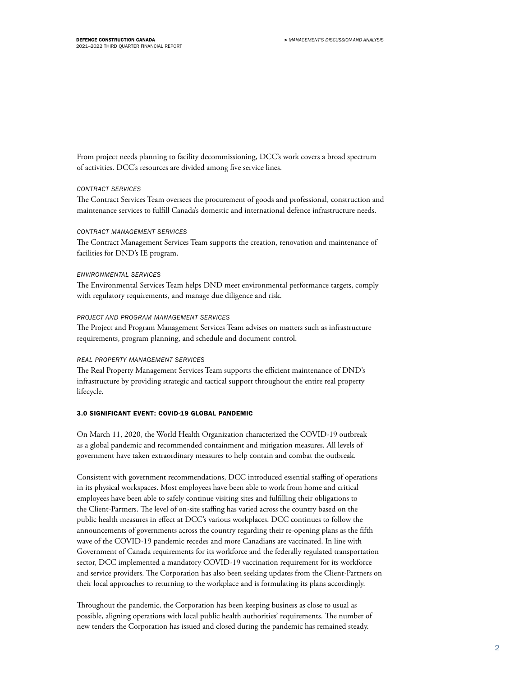From project needs planning to facility decommissioning, DCC's work covers a broad spectrum of activities. DCC's resources are divided among five service lines.

### *CONTRACT SERVICES*

The Contract Services Team oversees the procurement of goods and professional, construction and maintenance services to fulfill Canada's domestic and international defence infrastructure needs.

### *CONTRACT MANAGEMENT SERVICES*

The Contract Management Services Team supports the creation, renovation and maintenance of facilities for DND's IE program.

### *ENVIRONMENTAL SERVICES*

The Environmental Services Team helps DND meet environmental performance targets, comply with regulatory requirements, and manage due diligence and risk.

### *PROJECT AND PROGRAM MANAGEMENT SERVICES*

The Project and Program Management Services Team advises on matters such as infrastructure requirements, program planning, and schedule and document control.

### *REAL PROPERTY MANAGEMENT SERVICES*

The Real Property Management Services Team supports the efficient maintenance of DND's infrastructure by providing strategic and tactical support throughout the entire real property lifecycle.

# 3.0 SIGNIFICANT EVENT: COVID-19 GLOBAL PANDEMIC

On March 11, 2020, the World Health Organization characterized the COVID-19 outbreak as a global pandemic and recommended containment and mitigation measures. All levels of government have taken extraordinary measures to help contain and combat the outbreak.

Consistent with government recommendations, DCC introduced essential staffing of operations in its physical workspaces. Most employees have been able to work from home and critical employees have been able to safely continue visiting sites and fulfilling their obligations to the Client-Partners. The level of on-site staffing has varied across the country based on the public health measures in effect at DCC's various workplaces. DCC continues to follow the announcements of governments across the country regarding their re-opening plans as the fifth wave of the COVID-19 pandemic recedes and more Canadians are vaccinated. In line with Government of Canada requirements for its workforce and the federally regulated transportation sector, DCC implemented a mandatory COVID-19 vaccination requirement for its workforce and service providers. The Corporation has also been seeking updates from the Client-Partners on their local approaches to returning to the workplace and is formulating its plans accordingly.

Throughout the pandemic, the Corporation has been keeping business as close to usual as possible, aligning operations with local public health authorities' requirements. The number of new tenders the Corporation has issued and closed during the pandemic has remained steady.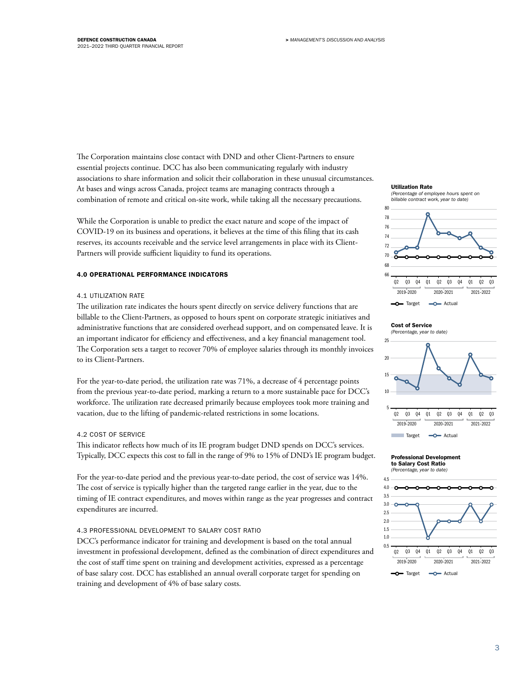The Corporation maintains close contact with DND and other Client-Partners to ensure essential projects continue. DCC has also been communicating regularly with industry associations to share information and solicit their collaboration in these unusual circumstances. At bases and wings across Canada, project teams are managing contracts through a combination of remote and critical on-site work, while taking all the necessary precautions.

While the Corporation is unable to predict the exact nature and scope of the impact of COVID-19 on its business and operations, it believes at the time of this filing that its cash reserves, its accounts receivable and the service level arrangements in place with its Client-Partners will provide sufficient liquidity to fund its operations.

### 4.0 OPERATIONAL PERFORMANCE INDICATORS

# 4.1 UTILIZATION RATE

The utilization rate indicates the hours spent directly on service delivery functions that are billable to the Client-Partners, as opposed to hours spent on corporate strategic initiatives and administrative functions that are considered overhead support, and on compensated leave. It is an important indicator for efficiency and effectiveness, and a key financial management tool. The Corporation sets a target to recover 70% of employee salaries through its monthly invoices to its Client-Partners.

For the year-to-date period, the utilization rate was 71%, a decrease of 4 percentage points from the previous year-to-date period, marking a return to a more sustainable pace for DCC's workforce. The utilization rate decreased primarily because employees took more training and vacation, due to the lifting of pandemic-related restrictions in some locations.

### 4.2 COST OF SERVICE

This indicator reflects how much of its IE program budget DND spends on DCC's services. Typically, DCC expects this cost to fall in the range of 9% to 15% of DND's IE program budget.

For the year-to-date period and the previous year-to-date period, the cost of service was 14%. The cost of service is typically higher than the targeted range earlier in the year, due to the timing of IE contract expenditures, and moves within range as the year progresses and contract expenditures are incurred.

# 4.3 PROFESSIONAL DEVELOPMENT TO SALARY COST RATIO

DCC's performance indicator for training and development is based on the total annual investment in professional development, defined as the combination of direct expenditures and the cost of staff time spent on training and development activities, expressed as a percentage of base salary cost. DCC has established an annual overall corporate target for spending on training and development of 4% of base salary costs.

#### Utilization Rate









-O-Target -O-Actual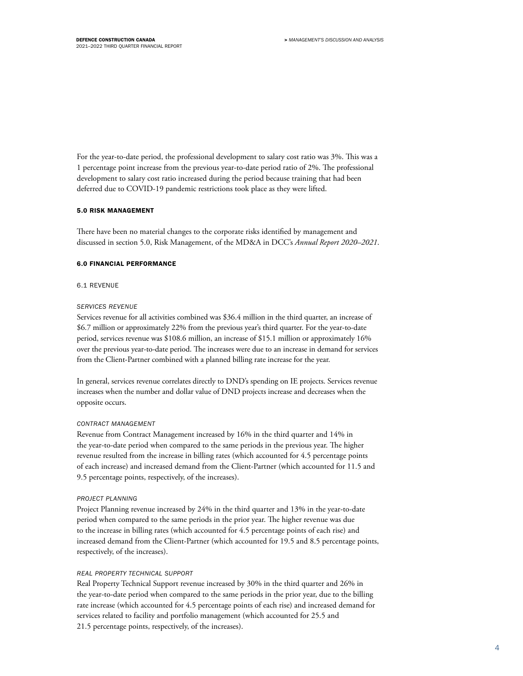For the year-to-date period, the professional development to salary cost ratio was 3%. This was a 1 percentage point increase from the previous year-to-date period ratio of 2%. The professional development to salary cost ratio increased during the period because training that had been deferred due to COVID-19 pandemic restrictions took place as they were lifted.

# 5.0 RISK MANAGEMENT

There have been no material changes to the corporate risks identified by management and discussed in section 5.0, Risk Management, of the MD&A in DCC's *Annual Report 2020–2021*.

# 6.0 FINANCIAL PERFORMANCE

# 6.1 REVENUE

# *SERVICES REVENUE*

Services revenue for all activities combined was \$36.4 million in the third quarter, an increase of \$6.7 million or approximately 22% from the previous year's third quarter. For the year-to-date period, services revenue was \$108.6 million, an increase of \$15.1 million or approximately 16% over the previous year-to-date period. The increases were due to an increase in demand for services from the Client-Partner combined with a planned billing rate increase for the year.

In general, services revenue correlates directly to DND's spending on IE projects. Services revenue increases when the number and dollar value of DND projects increase and decreases when the opposite occurs.

# *CONTRACT MANAGEMENT*

Revenue from Contract Management increased by 16% in the third quarter and 14% in the year-to-date period when compared to the same periods in the previous year. The higher revenue resulted from the increase in billing rates (which accounted for 4.5 percentage points of each increase) and increased demand from the Client-Partner (which accounted for 11.5 and 9.5 percentage points, respectively, of the increases).

# *PROJECT PLANNING*

Project Planning revenue increased by 24% in the third quarter and 13% in the year-to-date period when compared to the same periods in the prior year. The higher revenue was due to the increase in billing rates (which accounted for 4.5 percentage points of each rise) and increased demand from the Client-Partner (which accounted for 19.5 and 8.5 percentage points, respectively, of the increases).

# *REAL PROPERTY TECHNICAL SUPPORT*

Real Property Technical Support revenue increased by 30% in the third quarter and 26% in the year-to-date period when compared to the same periods in the prior year, due to the billing rate increase (which accounted for 4.5 percentage points of each rise) and increased demand for services related to facility and portfolio management (which accounted for 25.5 and 21.5 percentage points, respectively, of the increases).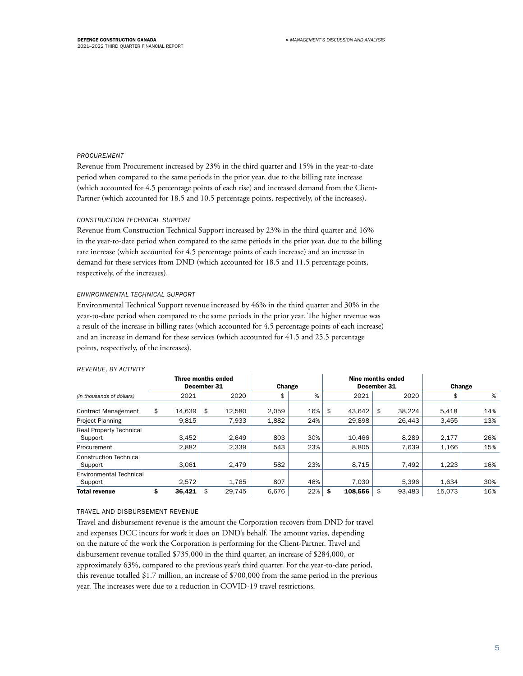# *PROCUREMENT*

Revenue from Procurement increased by 23% in the third quarter and 15% in the year-to-date period when compared to the same periods in the prior year, due to the billing rate increase (which accounted for 4.5 percentage points of each rise) and increased demand from the Client-Partner (which accounted for 18.5 and 10.5 percentage points, respectively, of the increases).

### *CONSTRUCTION TECHNICAL SUPPORT*

Revenue from Construction Technical Support increased by 23% in the third quarter and 16% in the year-to-date period when compared to the same periods in the prior year, due to the billing rate increase (which accounted for 4.5 percentage points of each increase) and an increase in demand for these services from DND (which accounted for 18.5 and 11.5 percentage points, respectively, of the increases).

### *ENVIRONMENTAL TECHNICAL SUPPORT*

Environmental Technical Support revenue increased by 46% in the third quarter and 30% in the year-to-date period when compared to the same periods in the prior year. The higher revenue was a result of the increase in billing rates (which accounted for 4.5 percentage points of each increase) and an increase in demand for these services (which accounted for 41.5 and 25.5 percentage points, respectively, of the increases).

|                                           | Three months ended<br>December 31 | Change       |       |    |     | Nine months ended<br>December 31 |         | Change |        |        |     |
|-------------------------------------------|-----------------------------------|--------------|-------|----|-----|----------------------------------|---------|--------|--------|--------|-----|
| (in thousands of dollars)                 | 2021                              | 2020         |       | \$ | %   |                                  | 2021    |        | 2020   | \$     | %   |
| <b>Contract Management</b>                | \$<br>14.639                      | \$<br>12.580 | 2.059 |    | 16% | \$                               | 43.642  | \$     | 38.224 | 5.418  | 14% |
| Project Planning                          | 9.815                             | 7.933        | 1,882 |    | 24% |                                  | 29.898  |        | 26.443 | 3.455  | 13% |
| <b>Real Property Technical</b><br>Support | 3.452                             | 2.649        | 803   |    | 30% |                                  | 10.466  |        | 8.289  | 2,177  | 26% |
| Procurement                               | 2,882                             | 2,339        | 543   |    | 23% |                                  | 8,805   |        | 7,639  | 1,166  | 15% |
| <b>Construction Technical</b><br>Support  | 3.061                             | 2.479        | 582   |    | 23% |                                  | 8.715   |        | 7.492  | 1,223  | 16% |
| Environmental Technical<br>Support        | 2.572                             | 1.765        | 807   |    | 46% |                                  | 7.030   |        | 5.396  | 1.634  | 30% |
| <b>Total revenue</b>                      | \$<br>36.421                      | \$<br>29.745 | 6.676 |    | 22% | .s                               | 108.556 | \$     | 93.483 | 15.073 | 16% |

#### *REVENUE, BY ACTIVITY*

# TRAVEL AND DISBURSEMENT REVENUE

Travel and disbursement revenue is the amount the Corporation recovers from DND for travel and expenses DCC incurs for work it does on DND's behalf. The amount varies, depending on the nature of the work the Corporation is performing for the Client-Partner. Travel and disbursement revenue totalled \$735,000 in the third quarter, an increase of \$284,000, or approximately 63%, compared to the previous year's third quarter. For the year-to-date period, this revenue totalled \$1.7 million, an increase of \$700,000 from the same period in the previous year. The increases were due to a reduction in COVID-19 travel restrictions.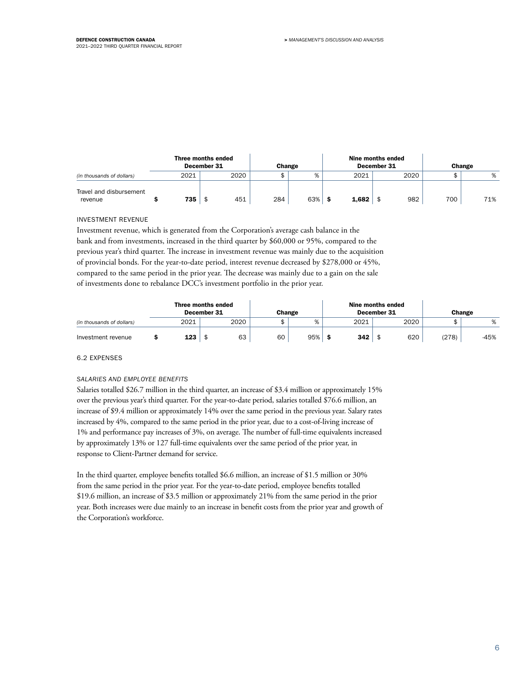|                                    |      | Three months ended<br>December 31 |         | Change           |       | Nine months ended<br>December 31 | Change |     |  |
|------------------------------------|------|-----------------------------------|---------|------------------|-------|----------------------------------|--------|-----|--|
| (in thousands of dollars)          | 2021 | 2020                              | ጥ<br>J. | $O_{\mathbb{A}}$ | 2021  | 2020                             |        | %   |  |
| Travel and disbursement<br>revenue | 735  | 451                               | 284     | 63%              | 1,682 | 982                              | 700    | 71% |  |

# INVESTMENT REVENUE

Investment revenue, which is generated from the Corporation's average cash balance in the bank and from investments, increased in the third quarter by \$60,000 or 95%, compared to the previous year's third quarter. The increase in investment revenue was mainly due to the acquisition of provincial bonds. For the year-to-date period, interest revenue decreased by \$278,000 or 45%, compared to the same period in the prior year. The decrease was mainly due to a gain on the sale of investments done to rebalance DCC's investment portfolio in the prior year.

|                           |      | Three months ended<br>December 31 |    | Change |      | Nine months ended<br>December 31 | Change |        |  |
|---------------------------|------|-----------------------------------|----|--------|------|----------------------------------|--------|--------|--|
| (in thousands of dollars) | 2021 | 2020                              |    | %      | 2021 | 2020                             |        | %      |  |
| Investment revenue        | 123  | 63                                | 60 | 95%    | 342  | 620                              | (278)  | $-45%$ |  |

# 6.2 EXPENSES

# *SALARIES AND EMPLOYEE BENEFITS*

Salaries totalled \$26.7 million in the third quarter, an increase of \$3.4 million or approximately 15% over the previous year's third quarter. For the year-to-date period, salaries totalled \$76.6 million, an increase of \$9.4 million or approximately 14% over the same period in the previous year. Salary rates increased by 4%, compared to the same period in the prior year, due to a cost-of-living increase of 1% and performance pay increases of 3%, on average. The number of full-time equivalents increased by approximately 13% or 127 full-time equivalents over the same period of the prior year, in response to Client-Partner demand for service.

In the third quarter, employee benefits totalled \$6.6 million, an increase of \$1.5 million or 30% from the same period in the prior year. For the year-to-date period, employee benefits totalled \$19.6 million, an increase of \$3.5 million or approximately 21% from the same period in the prior year. Both increases were due mainly to an increase in benefit costs from the prior year and growth of the Corporation's workforce.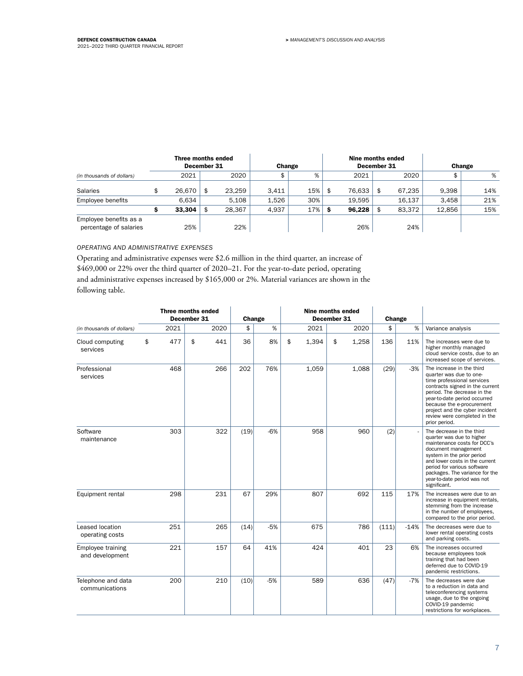|                                                  | Three months ended<br>December 31 |              | Change |     |     | Nine months ended<br>December 31 |    | <b>Change</b> |        |     |
|--------------------------------------------------|-----------------------------------|--------------|--------|-----|-----|----------------------------------|----|---------------|--------|-----|
| (in thousands of dollars)                        | 2021                              | 2020         | \$     | %   |     | 2021                             |    | 2020          |        | %   |
| <b>Salaries</b>                                  | \$<br>26.670                      | \$<br>23.259 | 3.411  | 15% | -\$ | 76.633                           | \$ | 67.235        | 9.398  | 14% |
| Employee benefits                                | 6.634                             | 5.108        | 1.526  | 30% |     | 19.595                           |    | 16.137        | 3.458  | 21% |
|                                                  | 33.304                            | 28.367       | 4.937  | 17% | -S  | 96.228                           | \$ | 83.372        | 12.856 | 15% |
| Employee benefits as a<br>percentage of salaries | 25%                               | 22%          |        |     |     | 26%                              |    | 24%           |        |     |

# *OPERATING AND ADMINISTRATIVE EXPENSES*

Operating and administrative expenses were \$2.6 million in the third quarter, an increase of \$469,000 or 22% over the third quarter of 2020–21. For the year-to-date period, operating and administrative expenses increased by \$165,000 or 2%. Material variances are shown in the following table.

|                                      |           | Three months ended<br>December 31 |      | Change |       | Nine months ended<br>December 31 |       |    |       | Change |        |                                                                                                                                                                                                                                                                                                      |  |  |
|--------------------------------------|-----------|-----------------------------------|------|--------|-------|----------------------------------|-------|----|-------|--------|--------|------------------------------------------------------------------------------------------------------------------------------------------------------------------------------------------------------------------------------------------------------------------------------------------------------|--|--|
| (in thousands of dollars)            | 2021      |                                   | 2020 | \$     | %     |                                  | 2021  |    | 2020  | \$     | %      | Variance analysis                                                                                                                                                                                                                                                                                    |  |  |
| Cloud computing<br>services          | \$<br>477 | \$                                | 441  | 36     | 8%    | \$                               | 1,394 | \$ | 1,258 | 136    | 11%    | The increases were due to<br>higher monthly managed<br>cloud service costs, due to an<br>increased scope of services.                                                                                                                                                                                |  |  |
| Professional<br>services             | 468       |                                   | 266  | 202    | 76%   |                                  | 1,059 |    | 1.088 | (29)   | $-3%$  | The increase in the third<br>quarter was due to one-<br>time professional services<br>contracts signed in the current<br>period. The decrease in the<br>vear-to-date period occurred<br>because the e-procurement<br>project and the cyber incident<br>review were completed in the<br>prior period. |  |  |
| Software<br>maintenance              | 303       |                                   | 322  | (19)   | $-6%$ |                                  | 958   |    | 960   | (2)    |        | The decrease in the third<br>quarter was due to higher<br>maintenance costs for DCC's<br>document management<br>system in the prior period<br>and lower costs in the current<br>period for various software<br>packages. The variance for the<br>year-to-date period was not<br>significant.         |  |  |
| Equipment rental                     | 298       |                                   | 231  | 67     | 29%   |                                  | 807   |    | 692   | 115    | 17%    | The increases were due to an<br>increase in equipment rentals,<br>stemming from the increase<br>in the number of employees,<br>compared to the prior period.                                                                                                                                         |  |  |
| Leased location<br>operating costs   | 251       |                                   | 265  | (14)   | $-5%$ |                                  | 675   |    | 786   | (111)  | $-14%$ | The decreases were due to<br>lower rental operating costs<br>and parking costs.                                                                                                                                                                                                                      |  |  |
| Employee training<br>and development | 221       |                                   | 157  | 64     | 41%   |                                  | 424   |    | 401   | 23     | 6%     | The increases occurred<br>because employees took<br>training that had been<br>deferred due to COVID-19<br>pandemic restrictions.                                                                                                                                                                     |  |  |
| Telephone and data<br>communications | 200       |                                   | 210  | (10)   | $-5%$ |                                  | 589   |    | 636   | (47)   | -7%    | The decreases were due<br>to a reduction in data and<br>teleconferencing systems<br>usage, due to the ongoing<br>COVID-19 pandemic<br>restrictions for workplaces.                                                                                                                                   |  |  |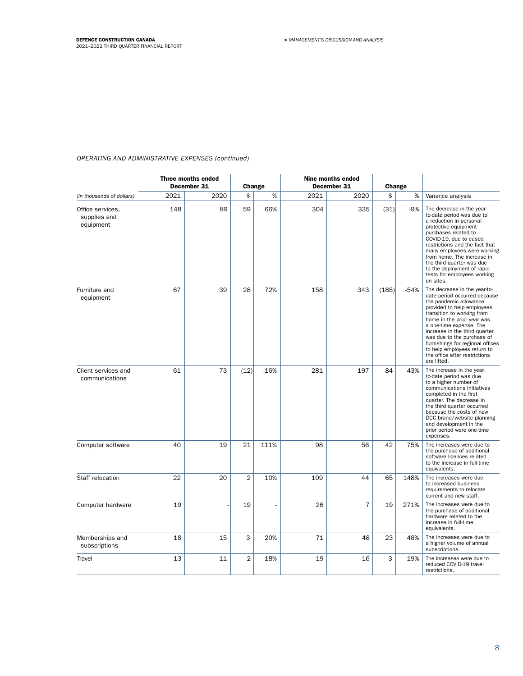# *OPERATING AND ADMINISTRATIVE EXPENSES (continued)*

|                                               | Three months ended<br>December 31 |      | Change         | Nine months ended<br>December 31 | Change |                |       |        |                                                                                                                                                                                                                                                                                                                                                                                               |
|-----------------------------------------------|-----------------------------------|------|----------------|----------------------------------|--------|----------------|-------|--------|-----------------------------------------------------------------------------------------------------------------------------------------------------------------------------------------------------------------------------------------------------------------------------------------------------------------------------------------------------------------------------------------------|
| (in thousands of dollars)                     | 2021                              | 2020 | \$             | %                                | 2021   | 2020           | \$    | %      | Variance analysis                                                                                                                                                                                                                                                                                                                                                                             |
| Office services,<br>supplies and<br>equipment | 148                               | 89   | 59             | 66%                              | 304    | 335            | (31)  | $-9%$  | The decrease in the year-<br>to-date period was due to<br>a reduction in personal<br>protective equipment<br>purchases related to<br>COVID-19, due to eased<br>restrictions and the fact that<br>many employees were working<br>from home. The increase in<br>the third quarter was due<br>to the deployment of rapid<br>tests for employees working<br>on sites.                             |
| Furniture and<br>equipment                    | 67                                | 39   | 28             | 72%                              | 158    | 343            | (185) | $-54%$ | The decrease in the year-to-<br>date period occurred because<br>the pandemic allowance<br>provided to help employees<br>transition to working from<br>home in the prior year was<br>a one-time expense. The<br>increase in the third quarter<br>was due to the purchase of<br>furnishings for regional offices<br>to help employees return to<br>the office after restrictions<br>are lifted. |
| Client services and<br>communications         | 61                                | 73   | (12)           | $-16%$                           | 281    | 197            | 84    | 43%    | The increase in the year-<br>to-date period was due<br>to a higher number of<br>communications initiatives<br>completed in the first<br>quarter. The decrease in<br>the third quarter occurred<br>because the costs of new<br>DCC brand/website planning<br>and development in the<br>prior period were one-time<br>expenses.                                                                 |
| Computer software                             | 40                                | 19   | 21             | 111%                             | 98     | 56             | 42    | 75%    | The increases were due to<br>the purchase of additional<br>software licences related<br>to the increase in full-time<br>equivalents.                                                                                                                                                                                                                                                          |
| Staff relocation                              | 22                                | 20   | $\overline{2}$ | 10%                              | 109    | 44             | 65    | 148%   | The increases were due<br>to increased business<br>requirements to relocate<br>current and new staff.                                                                                                                                                                                                                                                                                         |
| Computer hardware                             | 19                                |      | 19             |                                  | 26     | $\overline{7}$ | 19    | 271%   | The increases were due to<br>the purchase of additional<br>hardware related to the<br>increase in full-time<br>equivalents.                                                                                                                                                                                                                                                                   |
| Memberships and<br>subscriptions              | 18                                | 15   | 3              | 20%                              | 71     | 48             | 23    | 48%    | The increases were due to<br>a higher volume of annual<br>subscriptions.                                                                                                                                                                                                                                                                                                                      |
| Travel                                        | 13                                | 11   | $\overline{2}$ | 18%                              | 19     | 16             | 3     | 19%    | The increases were due to<br>reduced COVID-19 travel<br>restrictions.                                                                                                                                                                                                                                                                                                                         |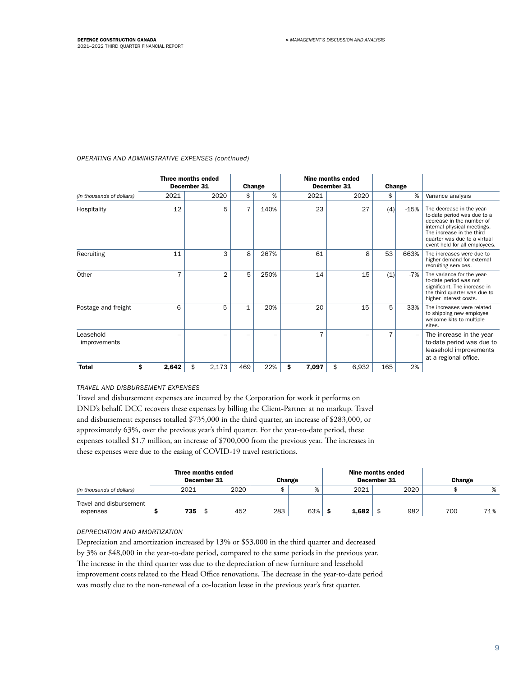### *OPERATING AND ADMINISTRATIVE EXPENSES (continued)*

|                           |     |                | Three months ended<br>December 31 | Change         |      | Nine months ended<br>December 31 | Change      |     |        |                                                                                                                                                                                                                    |
|---------------------------|-----|----------------|-----------------------------------|----------------|------|----------------------------------|-------------|-----|--------|--------------------------------------------------------------------------------------------------------------------------------------------------------------------------------------------------------------------|
| (in thousands of dollars) |     | 2021           | 2020                              | \$             | %    | 2021                             | 2020        | \$  | %      | Variance analysis                                                                                                                                                                                                  |
| Hospitality               |     | 12             | 5                                 | $\overline{7}$ | 140% | 23                               | 27          | (4) | $-15%$ | The decrease in the year-<br>to-date period was due to a<br>decrease in the number of<br>internal physical meetings.<br>The increase in the third<br>quarter was due to a virtual<br>event held for all employees. |
| Recruiting                |     | 11             | 3                                 | 8              | 267% | 61                               | 8           | 53  | 663%   | The increases were due to<br>higher demand for external<br>recruiting services.                                                                                                                                    |
| Other                     |     | $\overline{7}$ | $\overline{2}$                    | 5              | 250% | 14                               | 15          | (1) | $-7%$  | The variance for the year-<br>to-date period was not<br>significant. The increase in<br>the third quarter was due to<br>higher interest costs.                                                                     |
| Postage and freight       |     | 6              | 5                                 | $\mathbf{1}$   | 20%  | 20                               | 15          | 5   | 33%    | The increases were related<br>to shipping new employee<br>welcome kits to multiple<br>sites.                                                                                                                       |
| Leasehold<br>improvements |     |                |                                   |                |      | 7                                |             | 7   | -      | The increase in the year-<br>to-date period was due to<br>leasehold improvements<br>at a regional office.                                                                                                          |
| <b>Total</b>              | \$. | 2,642          | \$<br>2,173                       | 469            | 22%  | Ŝ<br>7,097                       | \$<br>6,932 | 165 | 2%     |                                                                                                                                                                                                                    |

### *TRAVEL AND DISBURSEMENT EXPENSES*

Travel and disbursement expenses are incurred by the Corporation for work it performs on DND's behalf. DCC recovers these expenses by billing the Client-Partner at no markup. Travel and disbursement expenses totalled \$735,000 in the third quarter, an increase of \$283,000, or approximately 63%, over the previous year's third quarter. For the year-to-date period, these expenses totalled \$1.7 million, an increase of \$700,000 from the previous year. The increases in these expenses were due to the easing of COVID-19 travel restrictions.

|                                     |      | Three months ended<br>December 31 |     | Change        |       | Nine months ended<br>December 31 | Change |     |  |
|-------------------------------------|------|-----------------------------------|-----|---------------|-------|----------------------------------|--------|-----|--|
| (in thousands of dollars)           | 2021 | 2020                              |     | $O_{\Lambda}$ | 2021  | 2020                             |        | %   |  |
| Travel and disbursement<br>expenses | 735  | 452                               | 283 | 63%           | 1,682 | 982                              | 700    | 71% |  |

# *DEPRECIATION AND AMORTIZATION*

Depreciation and amortization increased by 13% or \$53,000 in the third quarter and decreased by 3% or \$48,000 in the year-to-date period, compared to the same periods in the previous year. The increase in the third quarter was due to the depreciation of new furniture and leasehold improvement costs related to the Head Office renovations. The decrease in the year-to-date period was mostly due to the non-renewal of a co-location lease in the previous year's first quarter.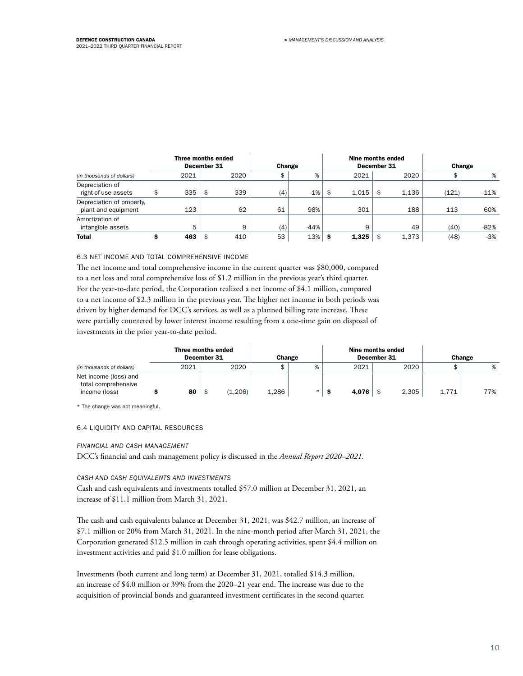|                                                  |      | Three months ended<br>December 31 | Change |        | Nine months ended<br>December 31 | Change      |       |         |
|--------------------------------------------------|------|-----------------------------------|--------|--------|----------------------------------|-------------|-------|---------|
| (in thousands of dollars)                        | 2021 | 2020                              | \$     | %      | 2021                             | 2020        |       | %       |
| Depreciation of<br>right-of-use assets           | 335  | 339<br>\$                         | (4)    | $-1\%$ | 1.015                            | 1,136<br>\$ | (121) | $-11\%$ |
| Depreciation of property,<br>plant and equipment | 123  | 62                                | 61     | 98%    | 301                              | 188         | 113   | 60%     |
| Amortization of<br>intangible assets             | 5    | 9                                 | (4)    | $-44%$ | 9                                | 49          | (40)  | $-82\%$ |
| <b>Total</b>                                     | 463  | 410                               | 53     | 13%    | 1,325                            | 1,373       | (48)  | $-3%$   |

# 6.3 NET INCOME AND TOTAL COMPREHENSIVE INCOME

The net income and total comprehensive income in the current quarter was \$80,000, compared to a net loss and total comprehensive loss of \$1.2 million in the previous year's third quarter. For the year-to-date period, the Corporation realized a net income of \$4.1 million, compared to a net income of \$2.3 million in the previous year. The higher net income in both periods was driven by higher demand for DCC's services, as well as a planned billing rate increase. These were partially countered by lower interest income resulting from a one-time gain on disposal of investments in the prior year-to-date period.

|                                                               | Three months ended | December 31 |         |       | Change |              | Nine months ended<br>December 31 | Change |     |
|---------------------------------------------------------------|--------------------|-------------|---------|-------|--------|--------------|----------------------------------|--------|-----|
| (in thousands of dollars)                                     | 2021               |             | 2020    |       | %      | 2021         | 2020                             |        | %   |
| Net income (loss) and<br>total comprehensive<br>income (loss) | 80                 | -\$         | (1,206) | 1,286 | $\ast$ | 4,076<br>. s | 2,305                            | 1,771  | 77% |

\* The change was not meaningful.

# 6.4 LIQUIDITY AND CAPITAL RESOURCES

# *FINANCIAL AND CASH MANAGEMENT*

DCC's financial and cash management policy is discussed in the *Annual Report 2020–2021*.

# *CASH AND CASH EQUIVALENTS AND INVESTMENTS*

Cash and cash equivalents and investments totalled \$57.0 million at December 31, 2021, an increase of \$11.1 million from March 31, 2021.

The cash and cash equivalents balance at December 31, 2021, was \$42.7 million, an increase of \$7.1 million or 20% from March 31, 2021. In the nine-month period after March 31, 2021, the Corporation generated \$12.5 million in cash through operating activities, spent \$4.4 million on investment activities and paid \$1.0 million for lease obligations.

Investments (both current and long term) at December 31, 2021, totalled \$14.3 million, an increase of \$4.0 million or 39% from the 2020–21 year end. The increase was due to the acquisition of provincial bonds and guaranteed investment certificates in the second quarter.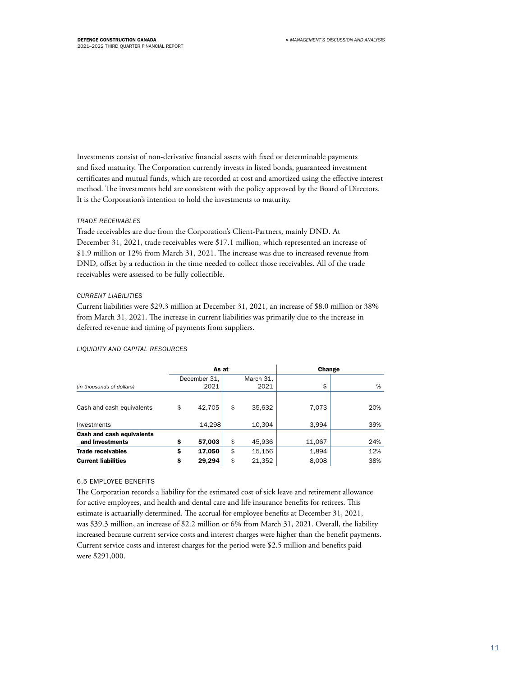Investments consist of non-derivative financial assets with fixed or determinable payments and fixed maturity. The Corporation currently invests in listed bonds, guaranteed investment certificates and mutual funds, which are recorded at cost and amortized using the effective interest method. The investments held are consistent with the policy approved by the Board of Directors. It is the Corporation's intention to hold the investments to maturity.

# *TRADE RECEIVABLES*

Trade receivables are due from the Corporation's Client-Partners, mainly DND. At December 31, 2021, trade receivables were \$17.1 million, which represented an increase of \$1.9 million or 12% from March 31, 2021. The increase was due to increased revenue from DND, offset by a reduction in the time needed to collect those receivables. All of the trade receivables were assessed to be fully collectible.

# *CURRENT LIABILITIES*

Current liabilities were \$29.3 million at December 31, 2021, an increase of \$8.0 million or 38% from March 31, 2021. The increase in current liabilities was primarily due to the increase in deferred revenue and timing of payments from suppliers.

# *LIQUIDITY AND CAPITAL RESOURCES*

|                                              | As at                |                   | Change |     |  |  |
|----------------------------------------------|----------------------|-------------------|--------|-----|--|--|
| (in thousands of dollars)                    | December 31,<br>2021 | March 31,<br>2021 | \$     | %   |  |  |
|                                              |                      |                   |        |     |  |  |
| Cash and cash equivalents                    | \$<br>42,705         | \$<br>35,632      | 7,073  | 20% |  |  |
| Investments                                  | 14,298               | 10,304            | 3.994  | 39% |  |  |
| Cash and cash equivalents<br>and Investments | \$<br>57,003         | \$<br>45,936      | 11,067 | 24% |  |  |
| <b>Trade receivables</b>                     | \$<br>17,050         | \$<br>15.156      | 1,894  | 12% |  |  |
| <b>Current liabilities</b>                   | \$<br>29.294         | \$<br>21,352      | 8,008  | 38% |  |  |

# 6.5 EMPLOYEE BENEFITS

The Corporation records a liability for the estimated cost of sick leave and retirement allowance for active employees, and health and dental care and life insurance benefits for retirees. This estimate is actuarially determined. The accrual for employee benefits at December 31, 2021, was \$39.3 million, an increase of \$2.2 million or 6% from March 31, 2021. Overall, the liability increased because current service costs and interest charges were higher than the benefit payments. Current service costs and interest charges for the period were \$2.5 million and benefits paid were \$291,000.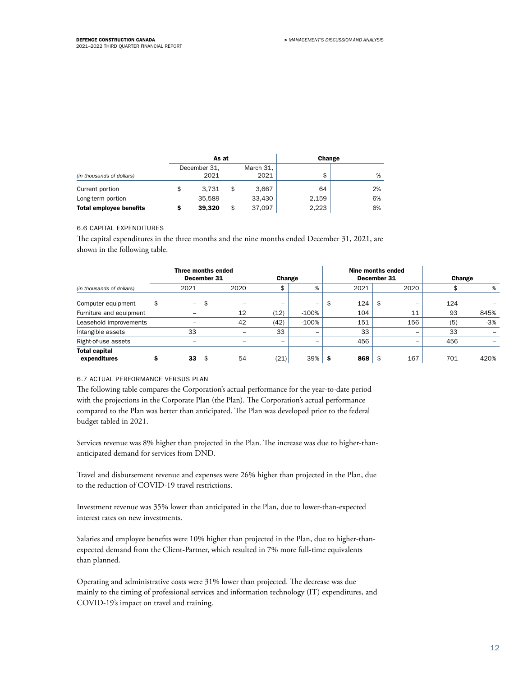|                                | As at                |                   | Change |    |  |
|--------------------------------|----------------------|-------------------|--------|----|--|
| (in thousands of dollars)      | December 31,<br>2021 | March 31,<br>2021 | \$     | %  |  |
| Current portion                | 3.731                | \$<br>3,667       | 64     | 2% |  |
| Long-term portion              | 35.589               | 33.430            | 2.159  | 6% |  |
| <b>Total employee benefits</b> | 39,320               | \$<br>37.097      | 2,223  | 6% |  |

# 6.6 CAPITAL EXPENDITURES

The capital expenditures in the three months and the nine months ended December 31, 2021, are shown in the following table.

| Three months ended<br>December 31    |   |      |           | Change                   |         | Nine months ended<br>December 31 |           | Change                          |       |  |
|--------------------------------------|---|------|-----------|--------------------------|---------|----------------------------------|-----------|---------------------------------|-------|--|
| (in thousands of dollars)            |   | 2021 | 2020      | Φ                        | %       | 2021                             | 2020      |                                 | %     |  |
| Computer equipment                   |   | -    | \$        | -                        | -       | 124                              |           | 124<br>-                        |       |  |
| Furniture and equipment              |   | -    | 12        | (12)                     | $-100%$ | 104                              | 11        | 93                              | 845%  |  |
| Leasehold improvements               |   |      | 42        | (42)                     | $-100%$ | 151                              | 156       | (5)                             | $-3%$ |  |
| Intangible assets                    |   | 33   | -         | 33                       |         | 33                               |           | 33<br>-                         |       |  |
| Right-of-use assets                  |   | -    | -         | $\overline{\phantom{0}}$ | -       | 456                              |           | 456<br>$\overline{\phantom{0}}$ |       |  |
| <b>Total capital</b><br>expenditures | s | 33   | 54<br>-\$ | (21)                     | 39%     | 868<br>S                         | 167<br>\$ | 701                             | 420%  |  |

# 6.7 ACTUAL PERFORMANCE VERSUS PLAN

The following table compares the Corporation's actual performance for the year-to-date period with the projections in the Corporate Plan (the Plan). The Corporation's actual performance compared to the Plan was better than anticipated. The Plan was developed prior to the federal budget tabled in 2021.

Services revenue was 8% higher than projected in the Plan. The increase was due to higher-thananticipated demand for services from DND.

Travel and disbursement revenue and expenses were 26% higher than projected in the Plan, due to the reduction of COVID-19 travel restrictions.

Investment revenue was 35% lower than anticipated in the Plan, due to lower-than-expected interest rates on new investments.

Salaries and employee benefits were 10% higher than projected in the Plan, due to higher-thanexpected demand from the Client-Partner, which resulted in 7% more full-time equivalents than planned.

Operating and administrative costs were 31% lower than projected. The decrease was due mainly to the timing of professional services and information technology (IT) expenditures, and COVID-19's impact on travel and training.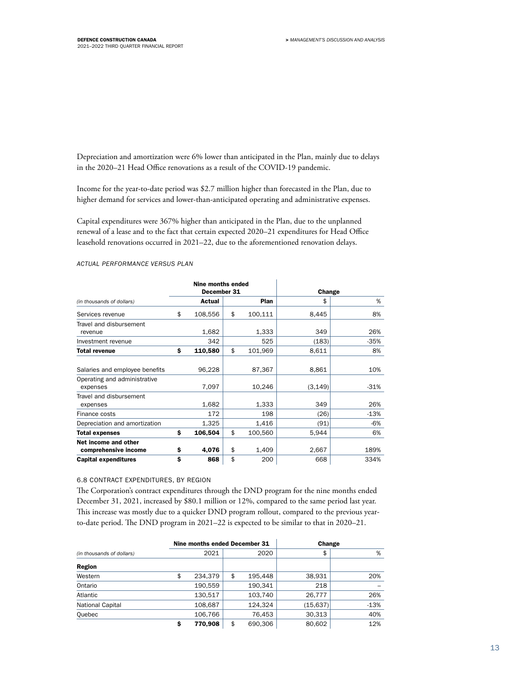Depreciation and amortization were 6% lower than anticipated in the Plan, mainly due to delays in the 2020–21 Head Office renovations as a result of the COVID-19 pandemic.

Income for the year-to-date period was \$2.7 million higher than forecasted in the Plan, due to higher demand for services and lower-than-anticipated operating and administrative expenses.

Capital expenditures were 367% higher than anticipated in the Plan, due to the unplanned renewal of a lease and to the fact that certain expected 2020–21 expenditures for Head Office leasehold renovations occurred in 2021–22, due to the aforementioned renovation delays.

### *ACTUAL PERFORMANCE VERSUS PLAN*

|                                | Nine months ended<br>December 31 |               | Change   |        |  |
|--------------------------------|----------------------------------|---------------|----------|--------|--|
| (in thousands of dollars)      | Actual                           | Plan          | \$       | %      |  |
|                                |                                  |               |          |        |  |
| Services revenue               | \$<br>108,556                    | \$<br>100,111 | 8,445    | 8%     |  |
| Travel and disbursement        |                                  |               |          |        |  |
| revenue                        | 1,682                            | 1,333         | 349      | 26%    |  |
| Investment revenue             | 342                              | 525           | (183)    | $-35%$ |  |
| <b>Total revenue</b>           | \$<br>110,580                    | \$<br>101,969 | 8,611    | 8%     |  |
|                                |                                  |               |          |        |  |
| Salaries and employee benefits | 96,228                           | 87,367        | 8,861    | 10%    |  |
| Operating and administrative   |                                  |               |          |        |  |
| expenses                       | 7,097                            | 10,246        | (3, 149) | $-31%$ |  |
| Travel and disbursement        |                                  |               |          |        |  |
| expenses                       | 1,682                            | 1,333         | 349      | 26%    |  |
| Finance costs                  | 172                              | 198           | (26)     | $-13%$ |  |
| Depreciation and amortization  | 1,325                            | 1,416         | (91)     | -6%    |  |
| <b>Total expenses</b>          | \$<br>106,504                    | \$<br>100,560 | 5,944    | 6%     |  |
| Net income and other           |                                  |               |          |        |  |
| comprehensive income           | \$<br>4,076                      | \$<br>1,409   | 2,667    | 189%   |  |
| <b>Capital expenditures</b>    | \$<br>868                        | \$<br>200     | 668      | 334%   |  |

### 6.8 CONTRACT EXPENDITURES, BY REGION

The Corporation's contract expenditures through the DND program for the nine months ended December 31, 2021, increased by \$80.1 million or 12%, compared to the same period last year. This increase was mostly due to a quicker DND program rollout, compared to the previous yearto-date period. The DND program in 2021–22 is expected to be similar to that in 2020–21.

|                           |    | Nine months ended December 31 |               | Change    |        |  |
|---------------------------|----|-------------------------------|---------------|-----------|--------|--|
| (in thousands of dollars) |    | 2021                          | 2020          | \$        | %      |  |
| Region                    |    |                               |               |           |        |  |
| Western                   | \$ | 234.379                       | \$<br>195.448 | 38,931    | 20%    |  |
| Ontario                   |    | 190,559                       | 190,341       | 218       |        |  |
| Atlantic                  |    | 130.517                       | 103.740       | 26.777    | 26%    |  |
| National Capital          |    | 108.687                       | 124.324       | (15, 637) | $-13%$ |  |
| Quebec                    |    | 106.766                       | 76.453        | 30.313    | 40%    |  |
|                           | s  | 770,908                       | \$<br>690.306 | 80,602    | 12%    |  |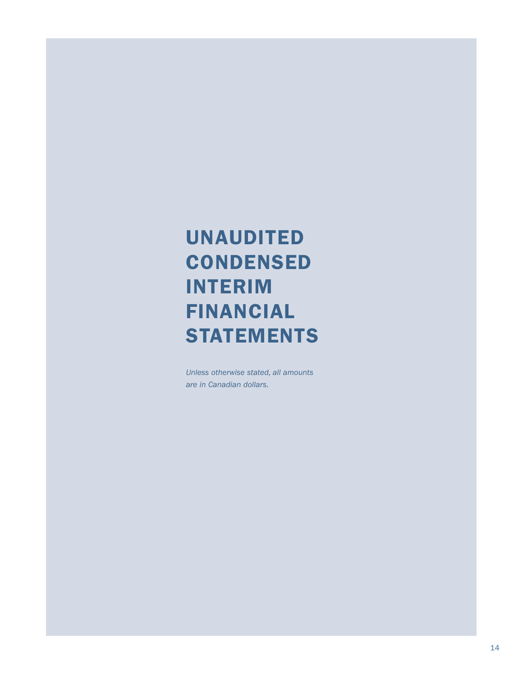# UNAUDITED **CONDENSED** INTERIM FINANCIAL **STATEMENTS**

*Unless otherwise stated, all amounts are in Canadian dollars.*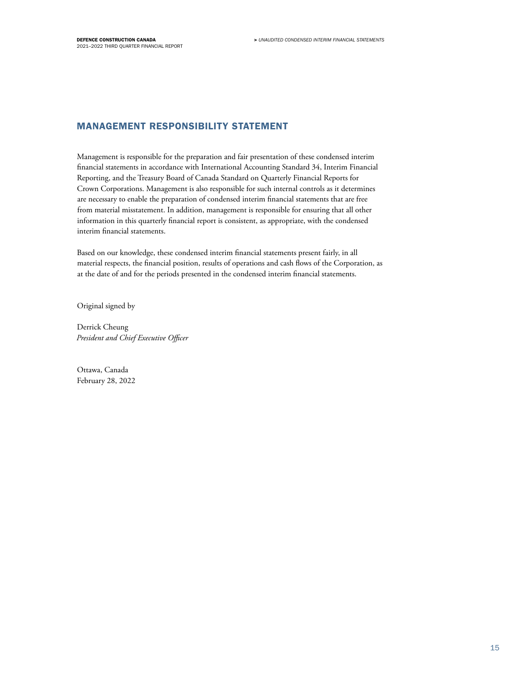# MANAGEMENT RESPONSIBILITY STATEMENT

Management is responsible for the preparation and fair presentation of these condensed interim financial statements in accordance with International Accounting Standard 34, Interim Financial Reporting, and the Treasury Board of Canada Standard on Quarterly Financial Reports for Crown Corporations. Management is also responsible for such internal controls as it determines are necessary to enable the preparation of condensed interim financial statements that are free from material misstatement. In addition, management is responsible for ensuring that all other information in this quarterly financial report is consistent, as appropriate, with the condensed interim financial statements.

Based on our knowledge, these condensed interim financial statements present fairly, in all material respects, the financial position, results of operations and cash flows of the Corporation, as at the date of and for the periods presented in the condensed interim financial statements.

Original signed by

Derrick Cheung *President and Chief Executive Officer*

Ottawa, Canada February 28, 2022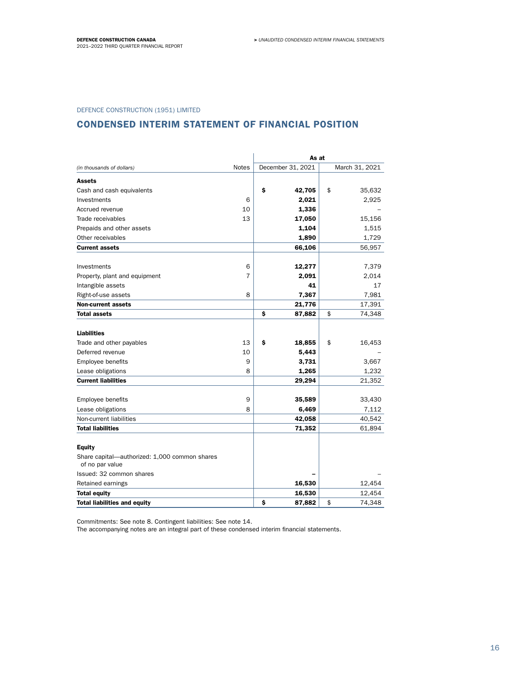# DEFENCE CONSTRUCTION (1951) LIMITED

# CONDENSED INTERIM STATEMENT OF FINANCIAL POSITION

|                                                    |              | As at             |                |  |  |
|----------------------------------------------------|--------------|-------------------|----------------|--|--|
| (in thousands of dollars)                          | <b>Notes</b> | December 31, 2021 | March 31, 2021 |  |  |
| <b>Assets</b>                                      |              |                   |                |  |  |
| Cash and cash equivalents                          |              | \$<br>42,705      | \$<br>35,632   |  |  |
| Investments                                        | 6            | 2,021             | 2,925          |  |  |
| Accrued revenue                                    | 10           | 1,336             |                |  |  |
| Trade receivables                                  | 13           | 17,050            | 15,156         |  |  |
| Prepaids and other assets                          |              | 1,104             | 1,515          |  |  |
| Other receivables                                  |              | 1,890             | 1,729          |  |  |
| <b>Current assets</b>                              |              | 66,106            | 56,957         |  |  |
|                                                    | 6            | 12,277            | 7,379          |  |  |
| Investments                                        | 7            | 2,091             | 2,014          |  |  |
| Property, plant and equipment<br>Intangible assets |              | 41                | 17             |  |  |
|                                                    | 8            | 7,367             | 7,981          |  |  |
| Right-of-use assets<br><b>Non-current assets</b>   |              | 21,776            | 17,391         |  |  |
| <b>Total assets</b>                                |              | \$<br>87,882      | \$<br>74,348   |  |  |
|                                                    |              |                   |                |  |  |
| <b>Liabilities</b>                                 |              |                   |                |  |  |
| Trade and other payables                           | 13           | \$<br>18,855      | \$<br>16,453   |  |  |
| Deferred revenue                                   | 10           | 5,443             |                |  |  |
| Employee benefits                                  | 9            | 3,731             | 3,667          |  |  |
| Lease obligations                                  | 8            | 1,265             | 1,232          |  |  |
| <b>Current liabilities</b>                         |              | 29,294            | 21,352         |  |  |
|                                                    |              |                   |                |  |  |
| Employee benefits                                  | 9            | 35,589            | 33,430         |  |  |
| Lease obligations                                  | 8            | 6,469             | 7,112          |  |  |
| Non-current liabilities                            |              | 42,058            | 40,542         |  |  |
| <b>Total liabilities</b>                           |              | 71,352            | 61,894         |  |  |
| <b>Equity</b>                                      |              |                   |                |  |  |
| Share capital—authorized: 1,000 common shares      |              |                   |                |  |  |
| of no par value                                    |              |                   |                |  |  |
| Issued: 32 common shares                           |              |                   |                |  |  |
| Retained earnings                                  |              | 16,530            | 12,454         |  |  |
| <b>Total equity</b>                                |              | 16,530            | 12,454         |  |  |
| <b>Total liabilities and equity</b>                |              | \$<br>87,882      | \$<br>74,348   |  |  |

Commitments: See note 8. Contingent liabilities: See note 14.

The accompanying notes are an integral part of these condensed interim financial statements.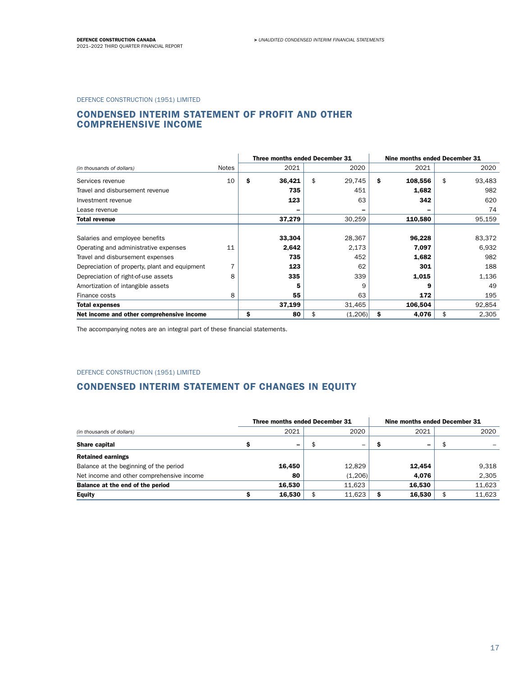### DEFENCE CONSTRUCTION (1951) LIMITED

# CONDENSED INTERIM STATEMENT OF PROFIT AND OTHER COMPREHENSIVE INCOME

|                                               |              | Three months ended December 31 |               | Nine months ended December 31 |              |  |
|-----------------------------------------------|--------------|--------------------------------|---------------|-------------------------------|--------------|--|
| (in thousands of dollars)                     | <b>Notes</b> | 2021                           | 2020          | 2021                          | 2020         |  |
| Services revenue                              | 10           | \$<br>36,421                   | \$<br>29,745  | \$<br>108,556                 | \$<br>93,483 |  |
| Travel and disbursement revenue               |              | 735                            | 451           | 1,682                         | 982          |  |
| Investment revenue                            |              | 123                            | 63            | 342                           | 620          |  |
| Lease revenue                                 |              |                                |               | -                             | 74           |  |
| <b>Total revenue</b>                          |              | 37,279                         | 30,259        | 110,580                       | 95,159       |  |
| Salaries and employee benefits                |              | 33,304                         | 28,367        | 96,228                        | 83,372       |  |
| Operating and administrative expenses         | 11           | 2,642                          | 2,173         | 7,097                         | 6,932        |  |
| Travel and disbursement expenses              |              | 735                            | 452           | 1,682                         | 982          |  |
| Depreciation of property, plant and equipment |              | 123                            | 62            | 301                           | 188          |  |
| Depreciation of right-of-use assets           | 8            | 335                            | 339           | 1,015                         | 1,136        |  |
| Amortization of intangible assets             |              | 5                              | 9             | 9                             | 49           |  |
| Finance costs                                 | 8            | 55                             | 63            | 172                           | 195          |  |
| <b>Total expenses</b>                         |              | 37,199                         | 31,465        | 106,504                       | 92,854       |  |
| Net income and other comprehensive income     |              | \$<br>80                       | (1,206)<br>\$ | \$<br>4,076                   | 2,305<br>\$  |  |

The accompanying notes are an integral part of these financial statements.

# DEFENCE CONSTRUCTION (1951) LIMITED

# CONDENSED INTERIM STATEMENT OF CHANGES IN EQUITY

|                                           | Three months ended December 31 |        |    |         |  | Nine months ended December 31 |    |        |  |
|-------------------------------------------|--------------------------------|--------|----|---------|--|-------------------------------|----|--------|--|
| (in thousands of dollars)                 |                                | 2021   |    | 2020    |  | 2021                          |    | 2020   |  |
| Share capital                             |                                | -      |    | -       |  | $\overline{\phantom{0}}$      | \$ |        |  |
| <b>Retained earnings</b>                  |                                |        |    |         |  |                               |    |        |  |
| Balance at the beginning of the period    |                                | 16,450 |    | 12.829  |  | 12.454                        |    | 9.318  |  |
| Net income and other comprehensive income |                                | 80     |    | (1,206) |  | 4.076                         |    | 2,305  |  |
| Balance at the end of the period          |                                | 16.530 |    | 11.623  |  | 16.530                        |    | 11,623 |  |
| <b>Equity</b>                             |                                | 16.530 | \$ | 11.623  |  | 16.530                        |    | 11,623 |  |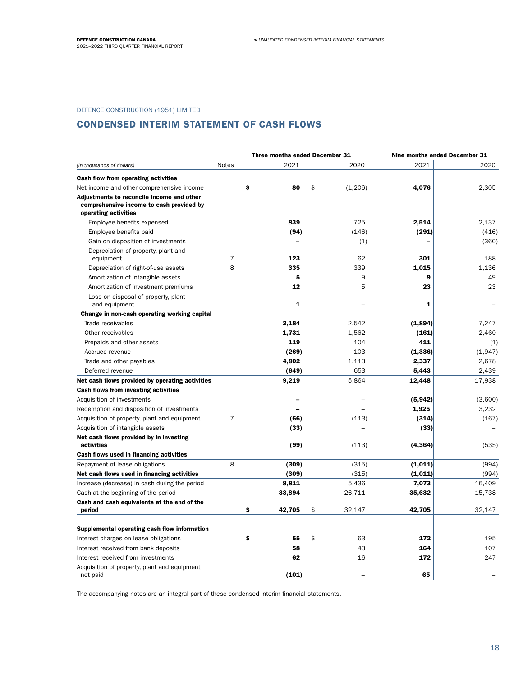# DEFENCE CONSTRUCTION (1951) LIMITED

# CONDENSED INTERIM STATEMENT OF CASH FLOWS

|                                                                                                               |                | Three months ended December 31 |                          | Nine months ended December 31 |         |  |
|---------------------------------------------------------------------------------------------------------------|----------------|--------------------------------|--------------------------|-------------------------------|---------|--|
| (in thousands of dollars)                                                                                     | Notes          | 2021                           | 2020                     | 2021                          | 2020    |  |
| Cash flow from operating activities                                                                           |                |                                |                          |                               |         |  |
| Net income and other comprehensive income                                                                     |                | \$<br>80                       | \$<br>(1,206)            | 4,076                         | 2,305   |  |
| Adjustments to reconcile income and other<br>comprehensive income to cash provided by<br>operating activities |                |                                |                          |                               |         |  |
| Employee benefits expensed                                                                                    |                | 839                            | 725                      | 2,514                         | 2.137   |  |
| Employee benefits paid                                                                                        |                | (94)                           | (146)                    | (291)                         | (416)   |  |
| Gain on disposition of investments                                                                            |                |                                | (1)                      |                               | (360)   |  |
| Depreciation of property, plant and<br>equipment                                                              | 7              | 123                            | 62                       | 301                           | 188     |  |
| Depreciation of right-of-use assets                                                                           | 8              | 335                            | 339                      | 1.015                         | 1.136   |  |
| Amortization of intangible assets                                                                             |                | 5                              | 9                        | 9                             | 49      |  |
| Amortization of investment premiums                                                                           |                | 12                             | 5                        | 23                            | 23      |  |
| Loss on disposal of property, plant<br>and equipment                                                          |                | 1                              |                          | $\mathbf{1}$                  |         |  |
| Change in non-cash operating working capital                                                                  |                |                                |                          |                               |         |  |
| Trade receivables                                                                                             |                | 2,184                          | 2,542                    | (1,894)                       | 7.247   |  |
| Other receivables                                                                                             |                | 1,731                          | 1,562                    | (161)                         | 2,460   |  |
| Prepaids and other assets                                                                                     |                | 119                            | 104                      | 411                           | (1)     |  |
| Accrued revenue                                                                                               |                | (269)                          | 103                      | (1, 336)                      | (1,947) |  |
| Trade and other payables                                                                                      |                | 4,802                          | 1,113                    | 2,337                         | 2,678   |  |
| Deferred revenue                                                                                              |                | (649)                          | 653                      | 5,443                         | 2,439   |  |
| Net cash flows provided by operating activities                                                               |                | 9,219                          | 5,864                    | 12,448                        | 17,938  |  |
| Cash flows from investing activities                                                                          |                |                                |                          |                               |         |  |
| Acquisition of investments                                                                                    |                |                                |                          | (5, 942)                      | (3,600) |  |
| Redemption and disposition of investments                                                                     |                |                                | $\overline{\phantom{0}}$ | 1,925                         | 3,232   |  |
| Acquisition of property, plant and equipment                                                                  | $\overline{7}$ | (66)                           | (113)                    | (314)                         | (167)   |  |
| Acquisition of intangible assets                                                                              |                | (33)                           |                          | (33)                          |         |  |
| Net cash flows provided by in investing<br>activities                                                         |                | (99)                           | (113)                    | (4, 364)                      | (535)   |  |
| Cash flows used in financing activities                                                                       |                |                                |                          |                               |         |  |
| Repayment of lease obligations                                                                                | 8              | (309)                          | (315)                    | (1,011)                       | (994)   |  |
| Net cash flows used in financing activities                                                                   |                | (309)                          | (315)                    | (1,011)                       | (994)   |  |
| Increase (decrease) in cash during the period                                                                 |                | 8,811                          | 5,436                    | 7,073                         | 16,409  |  |
| Cash at the beginning of the period                                                                           |                | 33,894                         | 26,711                   | 35,632                        | 15,738  |  |
| Cash and cash equivalents at the end of the<br>period                                                         |                | \$<br>42,705                   | \$<br>32,147             | 42,705                        | 32,147  |  |
|                                                                                                               |                |                                |                          |                               |         |  |
| Supplemental operating cash flow information                                                                  |                |                                |                          |                               |         |  |
| Interest charges on lease obligations                                                                         |                | \$<br>55                       | \$<br>63                 | 172                           | 195     |  |
| Interest received from bank deposits                                                                          |                | 58                             | 43                       | 164                           | 107     |  |
| Interest received from investments                                                                            |                | 62                             | 16                       | 172                           | 247     |  |
| Acquisition of property, plant and equipment<br>not paid                                                      |                | (101)                          |                          | 65                            |         |  |

The accompanying notes are an integral part of these condensed interim financial statements.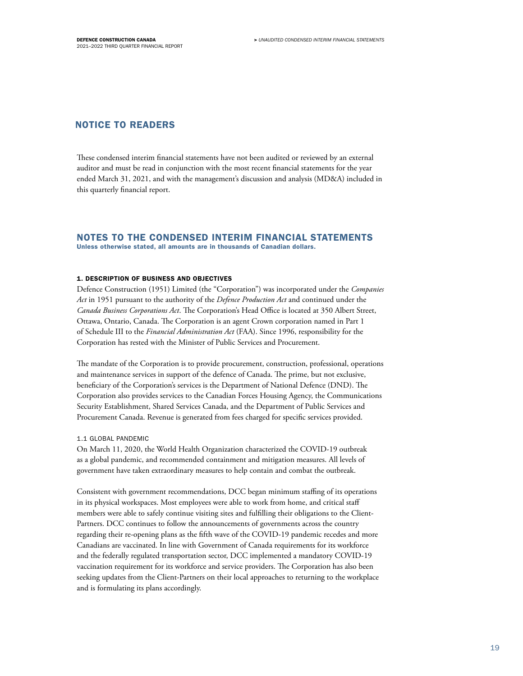# NOTICE TO READERS

These condensed interim financial statements have not been audited or reviewed by an external auditor and must be read in conjunction with the most recent financial statements for the year ended March 31, 2021, and with the management's discussion and analysis (MD&A) included in this quarterly financial report.

# NOTES TO THE CONDENSED INTERIM FINANCIAL STATEMENTS

Unless otherwise stated, all amounts are in thousands of Canadian dollars.

# 1. DESCRIPTION OF BUSINESS AND OBJECTIVES

Defence Construction (1951) Limited (the "Corporation") was incorporated under the *Companies Act* in 1951 pursuant to the authority of the *Defence Production Act* and continued under the *Canada Business Corporations Act*. The Corporation's Head Office is located at 350 Albert Street, Ottawa, Ontario, Canada. The Corporation is an agent Crown corporation named in Part 1 of Schedule III to the *Financial Administration Act* (FAA). Since 1996, responsibility for the Corporation has rested with the Minister of Public Services and Procurement.

The mandate of the Corporation is to provide procurement, construction, professional, operations and maintenance services in support of the defence of Canada. The prime, but not exclusive, beneficiary of the Corporation's services is the Department of National Defence (DND). The Corporation also provides services to the Canadian Forces Housing Agency, the Communications Security Establishment, Shared Services Canada, and the Department of Public Services and Procurement Canada. Revenue is generated from fees charged for specific services provided.

# 1.1 GLOBAL PANDEMIC

On March 11, 2020, the World Health Organization characterized the COVID-19 outbreak as a global pandemic, and recommended containment and mitigation measures. All levels of government have taken extraordinary measures to help contain and combat the outbreak.

Consistent with government recommendations, DCC began minimum staffing of its operations in its physical workspaces. Most employees were able to work from home, and critical staff members were able to safely continue visiting sites and fulfilling their obligations to the Client-Partners. DCC continues to follow the announcements of governments across the country regarding their re-opening plans as the fifth wave of the COVID-19 pandemic recedes and more Canadians are vaccinated. In line with Government of Canada requirements for its workforce and the federally regulated transportation sector, DCC implemented a mandatory COVID-19 vaccination requirement for its workforce and service providers. The Corporation has also been seeking updates from the Client-Partners on their local approaches to returning to the workplace and is formulating its plans accordingly.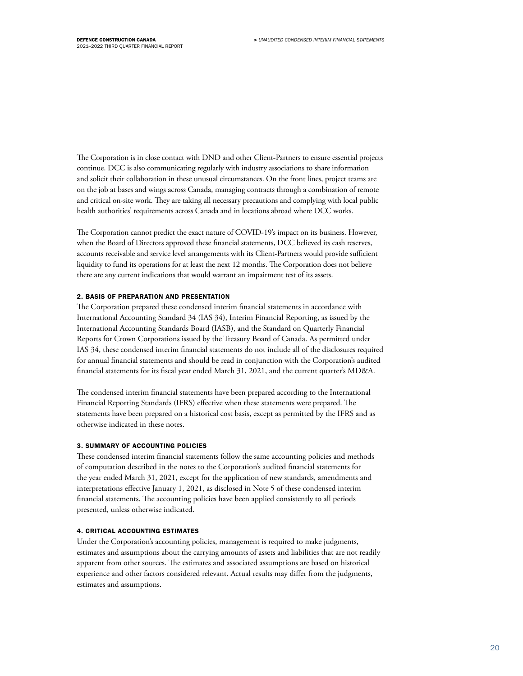The Corporation is in close contact with DND and other Client-Partners to ensure essential projects continue. DCC is also communicating regularly with industry associations to share information and solicit their collaboration in these unusual circumstances. On the front lines, project teams are on the job at bases and wings across Canada, managing contracts through a combination of remote and critical on-site work. They are taking all necessary precautions and complying with local public health authorities' requirements across Canada and in locations abroad where DCC works.

The Corporation cannot predict the exact nature of COVID-19's impact on its business. However, when the Board of Directors approved these financial statements, DCC believed its cash reserves, accounts receivable and service level arrangements with its Client-Partners would provide sufficient liquidity to fund its operations for at least the next 12 months. The Corporation does not believe there are any current indications that would warrant an impairment test of its assets.

# 2. BASIS OF PREPARATION AND PRESENTATION

The Corporation prepared these condensed interim financial statements in accordance with International Accounting Standard 34 (IAS 34), Interim Financial Reporting, as issued by the International Accounting Standards Board (IASB), and the Standard on Quarterly Financial Reports for Crown Corporations issued by the Treasury Board of Canada. As permitted under IAS 34, these condensed interim financial statements do not include all of the disclosures required for annual financial statements and should be read in conjunction with the Corporation's audited financial statements for its fiscal year ended March 31, 2021, and the current quarter's MD&A.

The condensed interim financial statements have been prepared according to the International Financial Reporting Standards (IFRS) effective when these statements were prepared. The statements have been prepared on a historical cost basis, except as permitted by the IFRS and as otherwise indicated in these notes.

# 3. SUMMARY OF ACCOUNTING POLICIES

These condensed interim financial statements follow the same accounting policies and methods of computation described in the notes to the Corporation's audited financial statements for the year ended March 31, 2021, except for the application of new standards, amendments and interpretations effective January 1, 2021, as disclosed in Note 5 of these condensed interim financial statements. The accounting policies have been applied consistently to all periods presented, unless otherwise indicated.

# 4. CRITICAL ACCOUNTING ESTIMATES

Under the Corporation's accounting policies, management is required to make judgments, estimates and assumptions about the carrying amounts of assets and liabilities that are not readily apparent from other sources. The estimates and associated assumptions are based on historical experience and other factors considered relevant. Actual results may differ from the judgments, estimates and assumptions.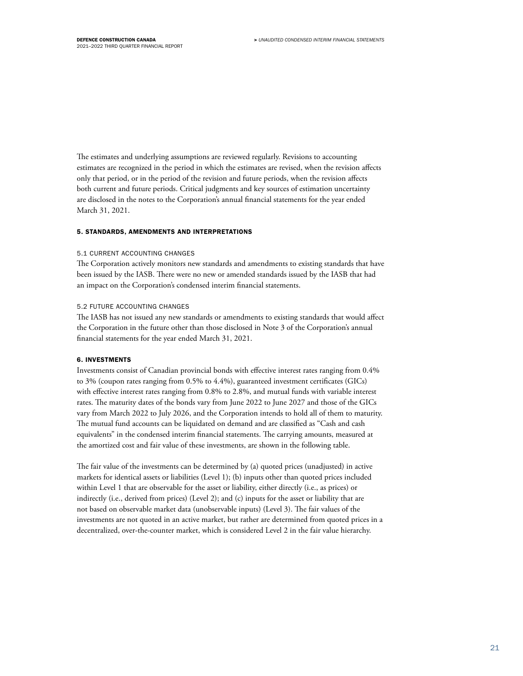The estimates and underlying assumptions are reviewed regularly. Revisions to accounting estimates are recognized in the period in which the estimates are revised, when the revision affects only that period, or in the period of the revision and future periods, when the revision affects both current and future periods. Critical judgments and key sources of estimation uncertainty are disclosed in the notes to the Corporation's annual financial statements for the year ended March 31, 2021.

# 5. STANDARDS, AMENDMENTS AND INTERPRETATIONS

### 5.1 CURRENT ACCOUNTING CHANGES

The Corporation actively monitors new standards and amendments to existing standards that have been issued by the IASB. There were no new or amended standards issued by the IASB that had an impact on the Corporation's condensed interim financial statements.

### 5.2 FUTURE ACCOUNTING CHANGES

The IASB has not issued any new standards or amendments to existing standards that would affect the Corporation in the future other than those disclosed in Note 3 of the Corporation's annual financial statements for the year ended March 31, 2021.

### 6. INVESTMENTS

Investments consist of Canadian provincial bonds with effective interest rates ranging from 0.4% to 3% (coupon rates ranging from 0.5% to 4.4%), guaranteed investment certificates (GICs) with effective interest rates ranging from 0.8% to 2.8%, and mutual funds with variable interest rates. The maturity dates of the bonds vary from June 2022 to June 2027 and those of the GICs vary from March 2022 to July 2026, and the Corporation intends to hold all of them to maturity. The mutual fund accounts can be liquidated on demand and are classified as "Cash and cash equivalents" in the condensed interim financial statements. The carrying amounts, measured at the amortized cost and fair value of these investments, are shown in the following table.

The fair value of the investments can be determined by (a) quoted prices (unadjusted) in active markets for identical assets or liabilities (Level 1); (b) inputs other than quoted prices included within Level 1 that are observable for the asset or liability, either directly (i.e., as prices) or indirectly (i.e., derived from prices) (Level 2); and (c) inputs for the asset or liability that are not based on observable market data (unobservable inputs) (Level 3). The fair values of the investments are not quoted in an active market, but rather are determined from quoted prices in a decentralized, over-the-counter market, which is considered Level 2 in the fair value hierarchy.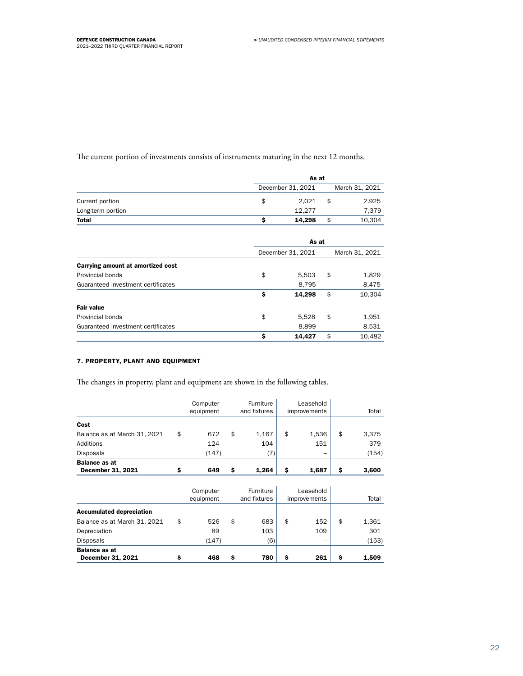The current portion of investments consists of instruments maturing in the next 12 months.

|                   | As at             |    |        |  |  |  |
|-------------------|-------------------|----|--------|--|--|--|
|                   | December 31, 2021 |    |        |  |  |  |
| Current portion   | 2.021             | \$ | 2,925  |  |  |  |
| Long-term portion | 12.277            |    | 7.379  |  |  |  |
| <b>Total</b>      | 14,298            | \$ | 10.304 |  |  |  |

|                                    | As at             |                |    |        |  |  |  |
|------------------------------------|-------------------|----------------|----|--------|--|--|--|
|                                    | December 31, 2021 | March 31, 2021 |    |        |  |  |  |
| Carrying amount at amortized cost  |                   |                |    |        |  |  |  |
| Provincial bonds                   | \$                | 5,503          | \$ | 1,829  |  |  |  |
| Guaranteed investment certificates |                   | 8,795          |    | 8,475  |  |  |  |
|                                    | Ŝ                 | 14,298         | \$ | 10,304 |  |  |  |
| <b>Fair value</b>                  |                   |                |    |        |  |  |  |
| Provincial bonds                   | \$                | 5,528          | \$ | 1,951  |  |  |  |
| Guaranteed investment certificates |                   | 8,899          |    | 8,531  |  |  |  |
|                                    | Ŝ                 | 14.427         | \$ | 10.482 |  |  |  |

# 7. PROPERTY, PLANT AND EQUIPMENT

The changes in property, plant and equipment are shown in the following tables.

| <b>December 31, 2021</b>     | Ś  | 649                   | \$<br>1.264               | Ŝ  | 1.687                            | \$<br>3.600 |
|------------------------------|----|-----------------------|---------------------------|----|----------------------------------|-------------|
| <b>Balance as at</b>         |    |                       |                           |    |                                  |             |
| <b>Disposals</b>             |    | (147)                 | 7                         |    | -                                | (154)       |
| Additions                    |    | 124                   | 104                       |    | 151                              | 379         |
| Balance as at March 31, 2021 | \$ | 672                   | \$<br>1,167               | \$ | 1.536                            | \$<br>3,375 |
| Cost                         |    |                       |                           |    |                                  |             |
|                              |    | Computer<br>equipment | Furniture<br>and fixtures |    | Leasehold<br><i>improvements</i> | Total       |

| <b>Balance as at</b><br>December 31, 2021 |    | 468                                                | s  | 780 | s                         | 261 | Ŝ     | 1.509 |
|-------------------------------------------|----|----------------------------------------------------|----|-----|---------------------------|-----|-------|-------|
| <b>Disposals</b>                          |    | (147)                                              |    | (6) |                           | -   |       | (153) |
| Depreciation                              |    | 89                                                 |    | 103 |                           | 109 |       | 301   |
| Balance as at March 31, 2021              | \$ | 526                                                | \$ | 683 | \$                        | 152 | \$    | 1,361 |
| <b>Accumulated depreciation</b>           |    |                                                    |    |     |                           |     |       |       |
|                                           |    | Furniture<br>Computer<br>and fixtures<br>equipment |    |     | Leasehold<br>improvements |     | Total |       |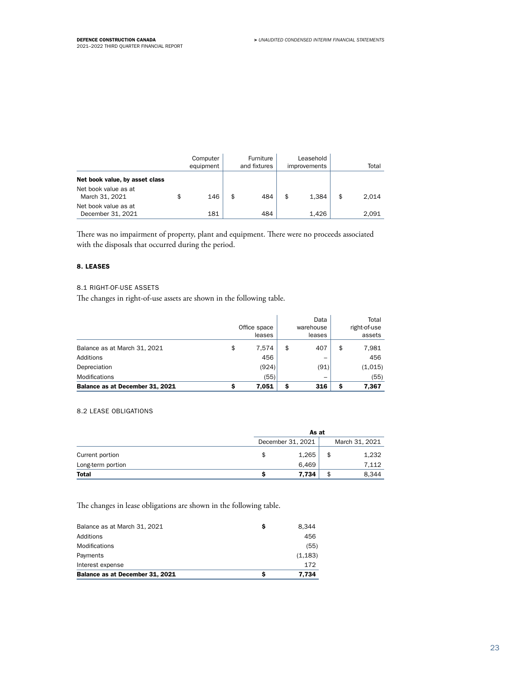|                                           | Computer<br>equipment | Furniture<br>and fixtures | Leasehold<br><i>improvements</i> | Total       |
|-------------------------------------------|-----------------------|---------------------------|----------------------------------|-------------|
| Net book value, by asset class            |                       |                           |                                  |             |
| Net book value as at<br>March 31, 2021    | 146                   | \$<br>484                 | \$<br>1.384                      | \$<br>2.014 |
| Net book value as at<br>December 31, 2021 | 181                   | 484                       | 1.426                            | 2.091       |

There was no impairment of property, plant and equipment. There were no proceeds associated with the disposals that occurred during the period.

# 8. LEASES

# 8.1 RIGHT-OF-USE ASSETS

The changes in right-of-use assets are shown in the following table.

|                                 |    | Office space<br>leases |    | Data<br>warehouse<br>leases | Total<br>right-of-use<br>assets |
|---------------------------------|----|------------------------|----|-----------------------------|---------------------------------|
| Balance as at March 31, 2021    | \$ | 7.574                  | \$ | 407                         | \$<br>7,981                     |
| Additions                       |    | 456                    |    | -                           | 456                             |
| Depreciation                    |    | (924)                  |    | (91)                        | (1,015)                         |
| <b>Modifications</b>            |    | (55)                   |    | -                           | (55)                            |
| Balance as at December 31, 2021 | s  | 7.051                  | S  | 316                         | \$<br>7,367                     |

# 8.2 LEASE OBLIGATIONS

|                   |  | December 31, 2021 |    | March 31, 2021 |
|-------------------|--|-------------------|----|----------------|
| Current portion   |  | 1,265             | \$ | 1,232          |
| Long-term portion |  | 6.469             |    | 7.112          |
| <b>Total</b>      |  | 7.734             | \$ | 8.344          |

The changes in lease obligations are shown in the following table.

| Balance as at December 31, 2021 |   | 7,734    |
|---------------------------------|---|----------|
| Interest expense                |   | 172      |
| Payments                        |   | (1, 183) |
| <b>Modifications</b>            |   | (55)     |
| Additions                       |   | 456      |
| Balance as at March 31, 2021    | s | 8.344    |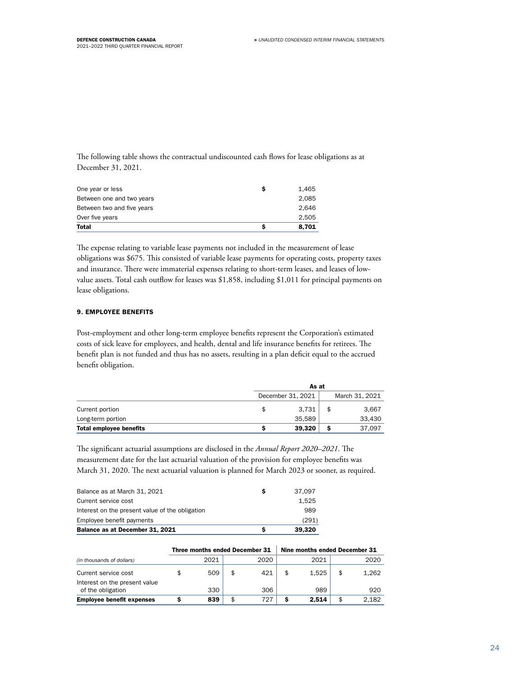The following table shows the contractual undiscounted cash flows for lease obligations as at December 31, 2021.

| One year or less<br>Between one and two years |   | 1,465<br>2.085 |
|-----------------------------------------------|---|----------------|
| Between two and five years                    |   | 2.646          |
| Over five years                               |   | 2.505          |
| <b>Total</b>                                  | s | 8.701          |

The expense relating to variable lease payments not included in the measurement of lease obligations was \$675. This consisted of variable lease payments for operating costs, property taxes and insurance. There were immaterial expenses relating to short-term leases, and leases of lowvalue assets. Total cash outflow for leases was \$1,858, including \$1,011 for principal payments on lease obligations.

# 9. EMPLOYEE BENEFITS

Post-employment and other long-term employee benefits represent the Corporation's estimated costs of sick leave for employees, and health, dental and life insurance benefits for retirees. The benefit plan is not funded and thus has no assets, resulting in a plan deficit equal to the accrued benefit obligation.

|                                | As at             |                |
|--------------------------------|-------------------|----------------|
|                                | December 31, 2021 | March 31, 2021 |
| Current portion                | 3,731             | 3,667          |
| Long-term portion              | 35.589            | 33.430         |
| <b>Total employee benefits</b> | 39,320            | 37.097         |

The significant actuarial assumptions are disclosed in the *Annual Report 2020–2021*. The measurement date for the last actuarial valuation of the provision for employee benefits was March 31, 2020. The next actuarial valuation is planned for March 2023 or sooner, as required.

| Balance as at December 31, 2021                 | s | 39.320 |
|-------------------------------------------------|---|--------|
| Employee benefit payments                       |   | (291)  |
| Interest on the present value of the obligation |   | 989    |
| Current service cost                            |   | 1.525  |
| Balance as at March 31, 2021                    | s | 37.097 |

|                                                       | Three months ended December 31 |           | Nine months ended December 31 |       |    |       |  |  |  |
|-------------------------------------------------------|--------------------------------|-----------|-------------------------------|-------|----|-------|--|--|--|
| (in thousands of dollars)                             | 2021                           | 2020      |                               | 2021  |    | 2020  |  |  |  |
| Current service cost<br>Interest on the present value | 509                            | \$<br>421 |                               | 1.525 | \$ | 1.262 |  |  |  |
| of the obligation                                     | 330                            | 306       |                               | 989   |    | 920   |  |  |  |
| <b>Employee benefit expenses</b>                      | 839                            | \$<br>727 |                               | 2.514 |    | 2.182 |  |  |  |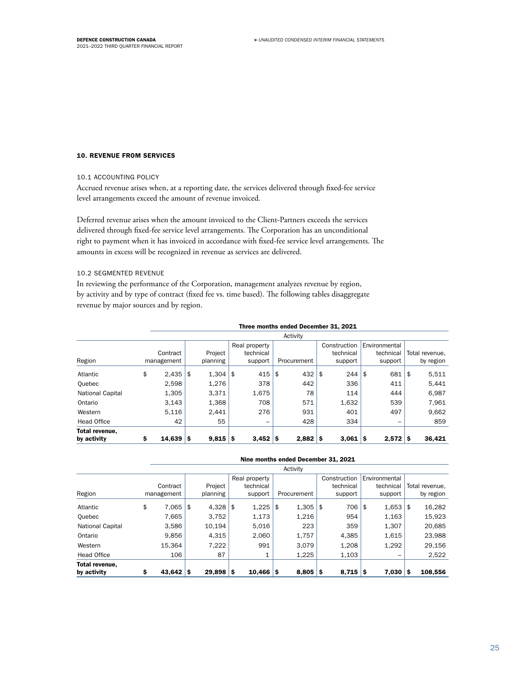# 10. REVENUE FROM SERVICES

10.1 ACCOUNTING POLICY

Accrued revenue arises when, at a reporting date, the services delivered through fixed-fee service level arrangements exceed the amount of revenue invoiced.

Deferred revenue arises when the amount invoiced to the Client-Partners exceeds the services delivered through fixed-fee service level arrangements. The Corporation has an unconditional right to payment when it has invoiced in accordance with fixed-fee service level arrangements. The amounts in excess will be recognized in revenue as services are delivered.

# 10.2 SEGMENTED REVENUE

In reviewing the performance of the Corporation, management analyzes revenue by region, by activity and by type of contract (fixed fee vs. time based). The following tables disaggregate revenue by major sources and by region.

|                    |              |    |          |    |               |    | Activity    |    |              |     |               |                |
|--------------------|--------------|----|----------|----|---------------|----|-------------|----|--------------|-----|---------------|----------------|
|                    |              |    |          |    | Real property |    |             |    | Construction |     | Environmental |                |
|                    | Contract     |    | Project  |    | technical     |    |             |    | technical    |     | technical     | Total revenue, |
| Region             | management   |    | planning |    | support       |    | Procurement |    | support      |     | support       | by region      |
| Atlantic           | \$<br>2,435  | \$ | 1,304    | \$ | 415           | \$ | 432         | \$ | 244          | \$  | 681           | \$<br>5,511    |
| Quebec             | 2,598        |    | 1,276    |    | 378           |    | 442         |    | 336          |     | 411           | 5,441          |
| National Capital   | 1,305        |    | 3,371    |    | 1,675         |    | 78          |    | 114          |     | 444           | 6.987          |
| Ontario            | 3,143        |    | 1,368    |    | 708           |    | 571         |    | 1,632        |     | 539           | 7,961          |
| Western            | 5,116        |    | 2,441    |    | 276           |    | 931         |    | 401          |     | 497           | 9,662          |
| <b>Head Office</b> | 42           |    | 55       |    | -             |    | 428         |    | 334          |     | -             | 859            |
| Total revenue,     |              |    |          |    |               |    |             |    |              |     |               |                |
| by activity        | \$<br>14,639 | S  | 9,815    | s  | 3,452         | s  | 2,882       | S  | 3.061        | ۱\$ | $2,572$ \$    | 36,421         |

# Nine months ended December 31, 2021

Three months ended December 31, 2021

| Total revenue,<br>by activity | \$<br>43.642           | l S | 29,898              | S  | $10,466$ \$                           | 8,805       | s  | $8,715$ $\sqrt{5}$                   | $7,030$ \$                            | 108.556                     |
|-------------------------------|------------------------|-----|---------------------|----|---------------------------------------|-------------|----|--------------------------------------|---------------------------------------|-----------------------------|
| <b>Head Office</b>            | 106                    |     | 87                  |    | 1                                     | 1,225       |    | 1,103                                |                                       | 2,522                       |
| Western                       | 15,364                 |     | 7,222               |    | 991                                   | 3,079       |    | 1,208                                | 1,292                                 | 29,156                      |
| Ontario                       | 9,856                  |     | 4,315               |    | 2,060                                 | 1,757       |    | 4,385                                | 1,615                                 | 23,988                      |
| National Capital              | 3,586                  |     | 10,194              |    | 5,016                                 | 223         |    | 359                                  | 1.307                                 | 20,685                      |
| Quebec                        | 7,665                  |     | 3,752               |    | 1,173                                 | 1,216       |    | 954                                  | 1,163                                 | 15,923                      |
| Atlantic                      | \$<br>7,065            | \$  | 4,328               | \$ | 1,225                                 | \$<br>1,305 | \$ | 706                                  | \$<br>1,653                           | \$<br>16,282                |
| Region                        | Contract<br>management |     | Project<br>planning |    | Real property<br>technical<br>support | Procurement |    | Construction<br>technical<br>support | Environmental<br>technical<br>support | Total revenue,<br>by region |
|                               |                        |     |                     |    |                                       | Activity    |    |                                      |                                       |                             |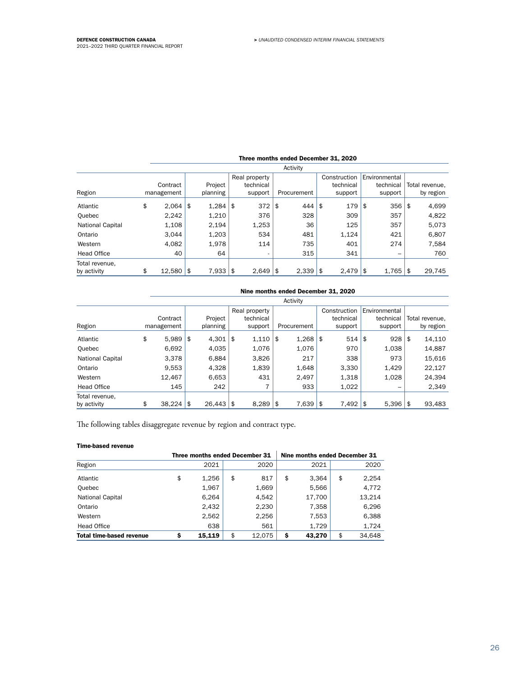|                         |              |             |               |    | Activity    |              |               |                |
|-------------------------|--------------|-------------|---------------|----|-------------|--------------|---------------|----------------|
|                         |              |             | Real property |    |             | Construction | Environmental |                |
|                         | Contract     | Project     | technical     |    |             | technical    | technical     | Total revenue, |
| Region                  | management   | planning    | support       |    | Procurement | support      | support       | by region      |
| Atlantic                | \$<br>2.064  | \$<br>1,284 | \$<br>372     | \$ | 444         | \$<br>179    | \$<br>356     | \$<br>4,699    |
| Ouebec                  | 2.242        | 1,210       | 376           |    | 328         | 309          | 357           | 4,822          |
| <b>National Capital</b> | 1,108        | 2,194       | 1,253         |    | 36          | 125          | 357           | 5.073          |
| Ontario                 | 3.044        | 1,203       | 534           |    | 481         | 1,124        | 421           | 6,807          |
| Western                 | 4,082        | 1,978       | 114           |    | 735         | 401          | 274           | 7,584          |
| <b>Head Office</b>      | 40           | 64          |               |    | 315         | 341          |               | 760            |
| Total revenue.          |              |             |               |    |             |              |               |                |
| by activity             | \$<br>12.580 | \$<br>7.933 | \$<br>2.649   | β. | 2.339       | \$<br>2.479  | \$<br>1.765   | \$<br>29.745   |

### Three months ended December 31, 2020

|             |                      |          |        |           |                        | Activity |                      |           |              |                    |                        |                |
|-------------|----------------------|----------|--------|-----------|------------------------|----------|----------------------|-----------|--------------|--------------------|------------------------|----------------|
|             |                      |          |        |           |                        |          |                      |           |              |                    |                        |                |
| Contract    |                      | Project  |        | technical |                        |          |                      | technical |              | technical          |                        | Total revenue, |
|             |                      | planning |        | support   |                        |          |                      | support   |              | support            |                        | by region      |
| \$<br>5,989 | ا \$                 | 4,301    | \$     | 1,110     | \$                     | 1,268    | \$                   |           | \$           | 928                | \$                     | 14,110         |
| 6,692       |                      | 4,035    |        | 1,076     |                        | 1,076    |                      | 970       |              | 1,038              |                        | 14,887         |
| 3,378       |                      | 6,884    |        | 3,826     |                        | 217      |                      | 338       |              | 973                |                        | 15,616         |
| 9,553       |                      | 4,328    |        | 1,839     |                        | 1,648    |                      | 3,330     |              | 1,429              |                        | 22,127         |
| 12,467      |                      | 6,653    |        | 431       |                        | 2,497    |                      | 1,318     |              | 1,028              |                        | 24,394         |
| 145         |                      | 242      |        | 7         |                        | 933      |                      | 1,022     |              |                    |                        | 2,349          |
|             |                      |          |        |           |                        |          |                      |           |              |                    |                        | 93,483         |
| \$          | management<br>38,224 | \$       | 26,443 | \$        | Real property<br>8,289 | \$       | Procurement<br>7,639 | \$        | Construction | 514<br>7,492<br>\$ | Environmental<br>5,396 | \$             |

# Nine months ended December 31, 2020

The following tables disaggregate revenue by region and contract type.

### Time-based revenue

|                                 |    | Three months ended December 31 |              | Nine months ended December 31 |              |
|---------------------------------|----|--------------------------------|--------------|-------------------------------|--------------|
| Region                          |    | 2021                           | 2020         | 2021                          | 2020         |
| Atlantic                        | \$ | 1,256                          | \$<br>817    | \$<br>3,364                   | \$<br>2,254  |
| Quebec                          |    | 1,967                          | 1,669        | 5,566                         | 4,772        |
| <b>National Capital</b>         |    | 6,264                          | 4,542        | 17,700                        | 13,214       |
| Ontario                         |    | 2,432                          | 2,230        | 7,358                         | 6,296        |
| Western                         |    | 2,562                          | 2.256        | 7.553                         | 6,388        |
| Head Office                     |    | 638                            | 561          | 1,729                         | 1,724        |
| <b>Total time-based revenue</b> | Ŝ  | 15.119                         | \$<br>12,075 | \$<br>43.270                  | \$<br>34,648 |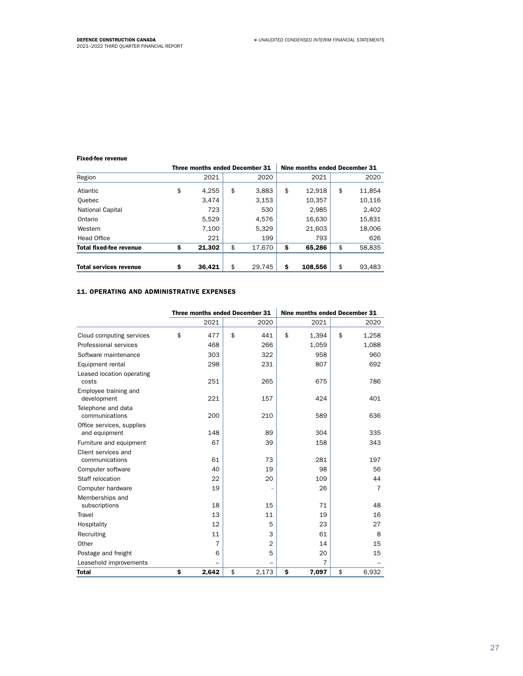### Fixed-fee revenue

|                                | Three months ended December 31 |              |    | Nine months ended December 31 |              |
|--------------------------------|--------------------------------|--------------|----|-------------------------------|--------------|
| Region                         | 2021                           | 2020         |    | 2021                          | 2020         |
| Atlantic                       | \$<br>4,255                    | \$<br>3,883  | \$ | 12,918                        | \$<br>11,854 |
| Quebec                         | 3,474                          | 3,153        |    | 10,357                        | 10,116       |
| <b>National Capital</b>        | 723                            | 530          |    | 2,985                         | 2,402        |
| Ontario                        | 5,529                          | 4,576        |    | 16,630                        | 15,831       |
| Western                        | 7,100                          | 5,329        |    | 21,603                        | 18,006       |
| Head Office                    | 221                            | 199          |    | 793                           | 626          |
| <b>Total fixed-fee revenue</b> | \$<br>21,302                   | \$<br>17,670 | \$ | 65,286                        | \$<br>58,835 |
|                                |                                |              |    |                               |              |
| <b>Total services revenue</b>  | \$<br>36,421                   | \$<br>29.745 | Ŝ  | 108,556                       | \$<br>93,483 |

# 11. OPERATING AND ADMINISTRATIVE EXPENSES

|                                            | Three months ended December 31 |             | Nine months ended December 31 |                |
|--------------------------------------------|--------------------------------|-------------|-------------------------------|----------------|
|                                            | 2021                           | 2020        | 2021                          | 2020           |
| Cloud computing services                   | \$<br>477                      | \$<br>441   | \$<br>1,394                   | \$<br>1,258    |
| Professional services                      | 468                            | 266         | 1,059                         | 1,088          |
| Software maintenance                       | 303                            | 322         | 958                           | 960            |
| Equipment rental                           | 298                            | 231         | 807                           | 692            |
| Leased location operating<br>costs         | 251                            | 265         | 675                           | 786            |
| Employee training and<br>development       | 221                            | 157         | 424                           | 401            |
| Telephone and data<br>communications       | 200                            | 210         | 589                           | 636            |
| Office services, supplies<br>and equipment | 148                            | 89          | 304                           | 335            |
| Furniture and equipment                    | 67                             | 39          | 158                           | 343            |
| Client services and<br>communications      | 61                             | 73          | 281                           | 197            |
| Computer software                          | 40                             | 19          | 98                            | 56             |
| Staff relocation                           | 22                             | 20          | 109                           | 44             |
| Computer hardware                          | 19                             |             | 26                            | $\overline{7}$ |
| Memberships and<br>subscriptions           | 18                             | 15          | 71                            | 48             |
| Travel                                     | 13                             | 11          | 19                            | 16             |
| Hospitality                                | 12                             | 5           | 23                            | 27             |
| Recruiting                                 | 11                             | 3           | 61                            | 8              |
| Other                                      | $\overline{7}$                 | 2           | 14                            | 15             |
| Postage and freight                        | 6                              | 5           | 20                            | 15             |
| Leasehold improvements                     |                                |             | $\overline{7}$                |                |
| <b>Total</b>                               | \$<br>2,642                    | \$<br>2,173 | \$<br>7,097                   | \$<br>6,932    |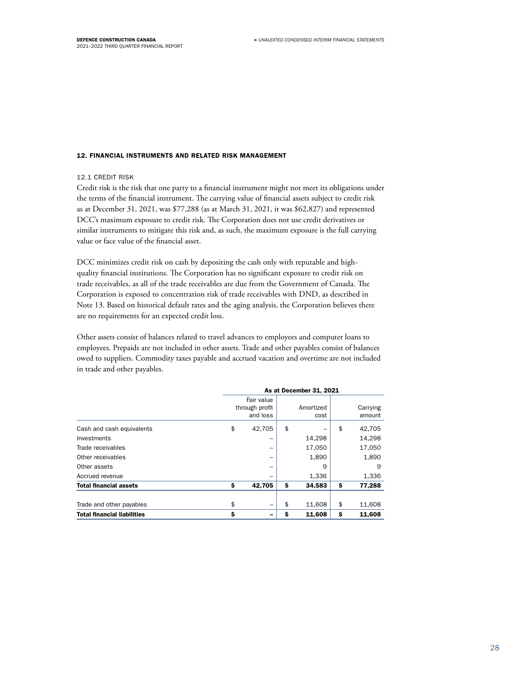### 12. FINANCIAL INSTRUMENTS AND RELATED RISK MANAGEMENT

# 12.1 CREDIT RISK

Credit risk is the risk that one party to a financial instrument might not meet its obligations under the terms of the financial instrument. The carrying value of financial assets subject to credit risk as at December 31, 2021, was \$77,288 (as at March 31, 2021, it was \$62,827) and represented DCC's maximum exposure to credit risk. The Corporation does not use credit derivatives or similar instruments to mitigate this risk and, as such, the maximum exposure is the full carrying value or face value of the financial asset.

DCC minimizes credit risk on cash by depositing the cash only with reputable and highquality financial institutions. The Corporation has no significant exposure to credit risk on trade receivables, as all of the trade receivables are due from the Government of Canada. The Corporation is exposed to concentration risk of trade receivables with DND, as described in Note 13. Based on historical default rates and the aging analysis, the Corporation believes there are no requirements for an expected credit loss.

Other assets consist of balances related to travel advances to employees and computer loans to employees. Prepaids are not included in other assets. Trade and other payables consist of balances owed to suppliers. Commodity taxes payable and accrued vacation and overtime are not included in trade and other payables.

|                                    |                |    | As at December 31, 2021 |              |
|------------------------------------|----------------|----|-------------------------|--------------|
|                                    | Fair value     |    |                         |              |
|                                    | through profit |    | Amortized               | Carrying     |
|                                    | and loss       |    | cost                    | amount       |
| Cash and cash equivalents          | \$<br>42.705   | \$ |                         | \$<br>42,705 |
| Investments                        |                |    | 14,298                  | 14,298       |
| Trade receivables                  |                |    | 17,050                  | 17,050       |
| Other receivables                  |                |    | 1,890                   | 1,890        |
| Other assets                       |                |    | 9                       | 9            |
| Accrued revenue                    |                |    | 1,336                   | 1,336        |
| <b>Total financial assets</b>      | \$<br>42,705   | \$ | 34,583                  | \$<br>77,288 |
|                                    |                |    |                         |              |
| Trade and other payables           | \$             | \$ | 11,608                  | \$<br>11,608 |
| <b>Total financial liabilities</b> | \$             | Ś  | 11.608                  | \$<br>11.608 |

As at December 31, 2021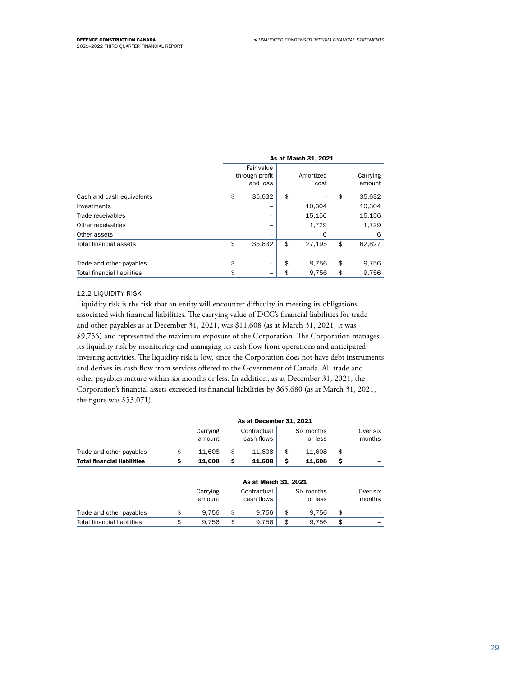|                                    | As at March 31, 2021                     |    |                   |    |                    |  |  |  |  |
|------------------------------------|------------------------------------------|----|-------------------|----|--------------------|--|--|--|--|
|                                    | Fair value<br>through profit<br>and loss |    | Amortized<br>cost |    | Carrying<br>amount |  |  |  |  |
| Cash and cash equivalents          | \$<br>35,632                             | \$ | -                 | \$ | 35,632             |  |  |  |  |
| Investments                        |                                          |    | 10,304            |    | 10,304             |  |  |  |  |
| Trade receivables                  |                                          |    | 15,156            |    | 15,156             |  |  |  |  |
| Other receivables                  |                                          |    | 1,729             |    | 1,729              |  |  |  |  |
| Other assets                       |                                          |    | 6                 |    | 6                  |  |  |  |  |
| <b>Total financial assets</b>      | \$<br>35,632                             | \$ | 27,195            | \$ | 62,827             |  |  |  |  |
|                                    |                                          |    |                   |    |                    |  |  |  |  |
| Trade and other payables           | \$                                       | \$ | 9,756             | \$ | 9,756              |  |  |  |  |
| <b>Total financial liabilities</b> | \$                                       | \$ | 9.756             | \$ | 9.756              |  |  |  |  |

# 12.2 LIQUIDITY RISK

Liquidity risk is the risk that an entity will encounter difficulty in meeting its obligations associated with financial liabilities. The carrying value of DCC's financial liabilities for trade and other payables as at December 31, 2021, was \$11,608 (as at March 31, 2021, it was \$9,756) and represented the maximum exposure of the Corporation. The Corporation manages its liquidity risk by monitoring and managing its cash flow from operations and anticipated investing activities. The liquidity risk is low, since the Corporation does not have debt instruments and derives its cash flow from services offered to the Government of Canada. All trade and other payables mature within six months or less. In addition, as at December 31, 2021, the Corporation's financial assets exceeded its financial liabilities by \$65,680 (as at March 31, 2021, the figure was \$53,071).

|                                    | As at December 31, 2021 |    |                           |  |                       |    |                    |  |  |  |
|------------------------------------|-------------------------|----|---------------------------|--|-----------------------|----|--------------------|--|--|--|
|                                    | Carrying<br>amount      |    | Contractual<br>cash flows |  | Six months<br>or less |    | Over six<br>months |  |  |  |
| Trade and other payables           | 11.608                  | \$ | 11.608                    |  | 11.608                | \$ |                    |  |  |  |
| <b>Total financial liabilities</b> | 11.608                  | s  | 11.608                    |  | 11.608                |    |                    |  |  |  |

|                                    | As at March 31, 2021 |    |                           |  |                       |    |                    |  |  |  |  |
|------------------------------------|----------------------|----|---------------------------|--|-----------------------|----|--------------------|--|--|--|--|
|                                    | Carrying<br>amount   |    | Contractual<br>cash flows |  | Six months<br>or less |    | Over six<br>months |  |  |  |  |
| Trade and other payables           | 9.756                | \$ | 9.756                     |  | 9.756                 | \$ | -                  |  |  |  |  |
| <b>Total financial liabilities</b> | 9.756                | \$ | 9.756                     |  | 9.756                 | \$ |                    |  |  |  |  |
|                                    |                      |    |                           |  |                       |    |                    |  |  |  |  |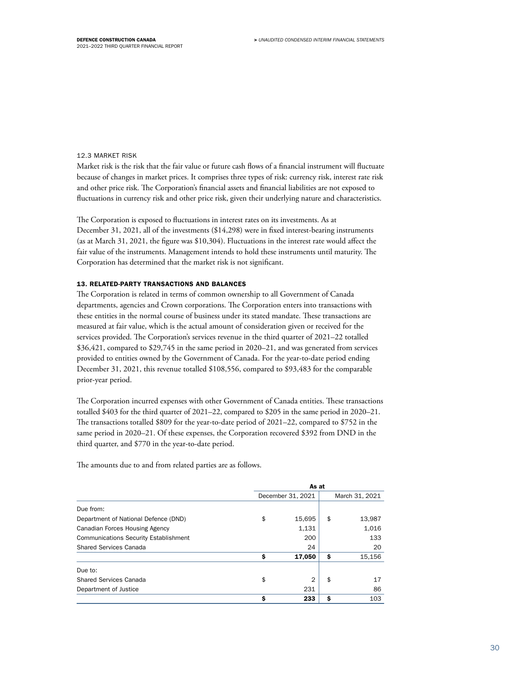# 12.3 MARKET RISK

Market risk is the risk that the fair value or future cash flows of a financial instrument will fluctuate because of changes in market prices. It comprises three types of risk: currency risk, interest rate risk and other price risk. The Corporation's financial assets and financial liabilities are not exposed to fluctuations in currency risk and other price risk, given their underlying nature and characteristics.

The Corporation is exposed to fluctuations in interest rates on its investments. As at December 31, 2021, all of the investments (\$14,298) were in fixed interest-bearing instruments (as at March 31, 2021, the figure was \$10,304). Fluctuations in the interest rate would affect the fair value of the instruments. Management intends to hold these instruments until maturity. The Corporation has determined that the market risk is not significant.

# 13. RELATED-PARTY TRANSACTIONS AND BALANCES

The Corporation is related in terms of common ownership to all Government of Canada departments, agencies and Crown corporations. The Corporation enters into transactions with these entities in the normal course of business under its stated mandate. These transactions are measured at fair value, which is the actual amount of consideration given or received for the services provided. The Corporation's services revenue in the third quarter of 2021–22 totalled \$36,421, compared to \$29,745 in the same period in 2020–21, and was generated from services provided to entities owned by the Government of Canada. For the year-to-date period ending December 31, 2021, this revenue totalled \$108,556, compared to \$93,483 for the comparable prior-year period.

The Corporation incurred expenses with other Government of Canada entities. These transactions totalled \$403 for the third quarter of 2021–22, compared to \$205 in the same period in 2020–21. The transactions totalled \$809 for the year-to-date period of 2021–22, compared to \$752 in the same period in 2020–21. Of these expenses, the Corporation recovered \$392 from DND in the third quarter, and \$770 in the year-to-date period.

The amounts due to and from related parties are as follows.

|                                              | As at |                   |    |                |  |  |  |  |
|----------------------------------------------|-------|-------------------|----|----------------|--|--|--|--|
|                                              |       | December 31, 2021 |    | March 31, 2021 |  |  |  |  |
| Due from:                                    |       |                   |    |                |  |  |  |  |
| Department of National Defence (DND)         | \$    | 15,695            | \$ | 13,987         |  |  |  |  |
| Canadian Forces Housing Agency               |       | 1,131             |    | 1,016          |  |  |  |  |
| <b>Communications Security Establishment</b> |       | 200               |    | 133            |  |  |  |  |
| <b>Shared Services Canada</b>                |       | 24                |    | 20             |  |  |  |  |
|                                              | \$    | 17,050            | \$ | 15,156         |  |  |  |  |
| Due to:                                      |       |                   |    |                |  |  |  |  |
| Shared Services Canada                       | \$    | 2                 | \$ | 17             |  |  |  |  |
| Department of Justice                        |       | 231               |    | 86             |  |  |  |  |
|                                              | \$    | 233               | Ŝ  | 103            |  |  |  |  |